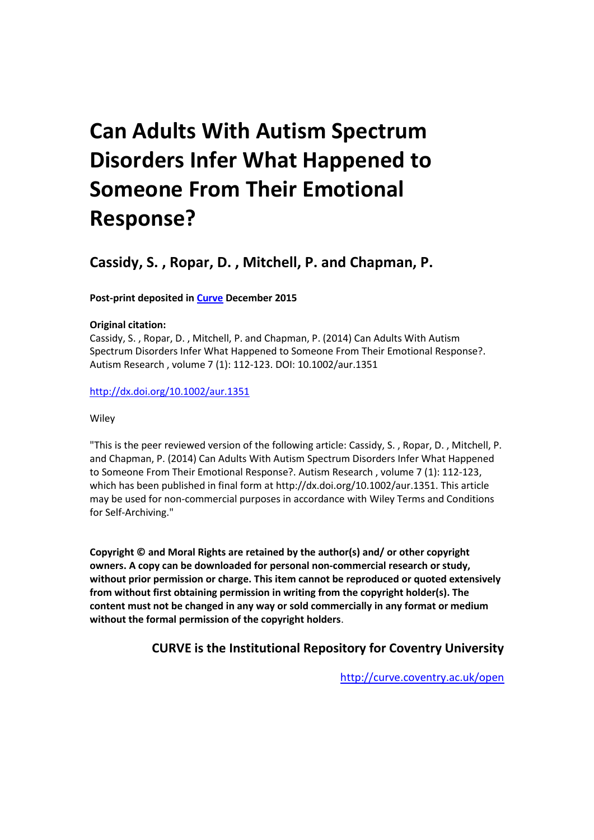# **Can Adults With Autism Spectrum Disorders Infer What Happened to Someone From Their Emotional Response?**

**Cassidy, S. , Ropar, D. , Mitchell, P. and Chapman, P.**

# **Post-print deposited in [Curve](http://curve.coventry.ac.uk/open) December 2015**

# **Original citation:**

Cassidy, S. , Ropar, D. , Mitchell, P. and Chapman, P. (2014) Can Adults With Autism Spectrum Disorders Infer What Happened to Someone From Their Emotional Response?. Autism Research , volume 7 (1): 112-123. DOI: 10.1002/aur.1351

# <http://dx.doi.org/10.1002/aur.1351>

# **Wiley**

"This is the peer reviewed version of the following article: Cassidy, S. , Ropar, D. , Mitchell, P. and Chapman, P. (2014) Can Adults With Autism Spectrum Disorders Infer What Happened to Someone From Their Emotional Response?. Autism Research , volume 7 (1): 112-123, which has been published in final form at http://dx.doi.org/10.1002/aur.1351. This article may be used for non-commercial purposes in accordance with Wiley Terms and Conditions for Self-Archiving."

**Copyright © and Moral Rights are retained by the author(s) and/ or other copyright owners. A copy can be downloaded for personal non-commercial research or study, without prior permission or charge. This item cannot be reproduced or quoted extensively from without first obtaining permission in writing from the copyright holder(s). The content must not be changed in any way or sold commercially in any format or medium without the formal permission of the copyright holders**.

# **CURVE is the Institutional Repository for Coventry University**

<http://curve.coventry.ac.uk/open>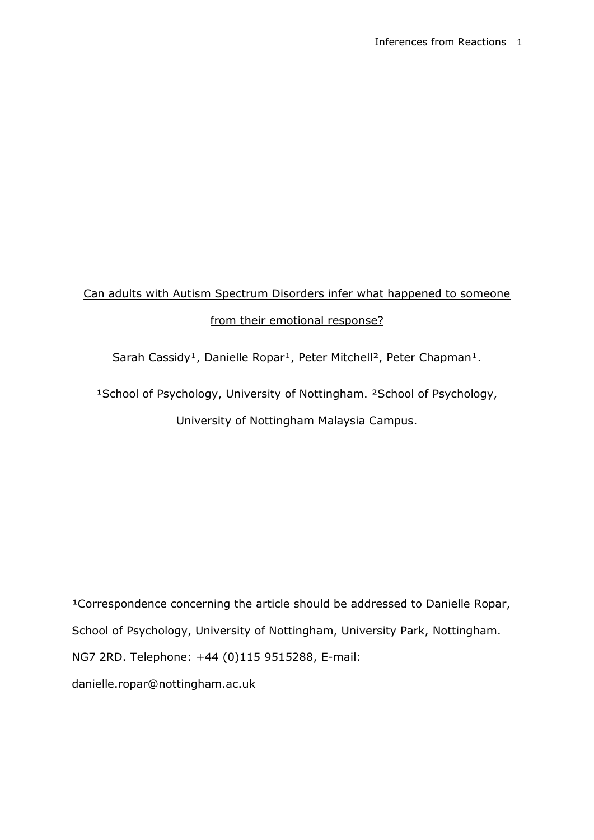# Can adults with Autism Spectrum Disorders infer what happened to someone from their emotional response?

Sarah Cassidy<sup>1</sup>, Danielle Ropar<sup>1</sup>, Peter Mitchell<sup>2</sup>, Peter Chapman<sup>1</sup>.

<sup>1</sup>School of Psychology, University of Nottingham. <sup>2</sup>School of Psychology, University of Nottingham Malaysia Campus.

<sup>1</sup>Correspondence concerning the article should be addressed to Danielle Ropar, School of Psychology, University of Nottingham, University Park, Nottingham. NG7 2RD. Telephone: +44 (0)115 9515288, E-mail: danielle.ropar@nottingham.ac.uk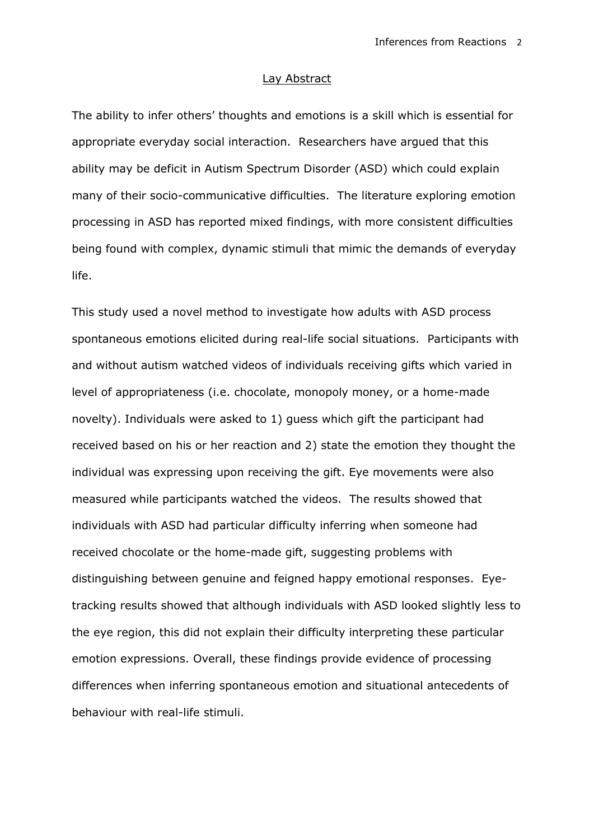# Lay Abstract

The ability to infer others' thoughts and emotions is a skill which is essential for appropriate everyday social interaction. Researchers have argued that this ability may be deficit in Autism Spectrum Disorder (ASD) which could explain many of their socio-communicative difficulties. The literature exploring emotion processing in ASD has reported mixed findings, with more consistent difficulties being found with complex, dynamic stimuli that mimic the demands of everyday life.

This study used a novel method to investigate how adults with ASD process spontaneous emotions elicited during real-life social situations. Participants with and without autism watched videos of individuals receiving gifts which varied in level of appropriateness (i.e. chocolate, monopoly money, or a home-made novelty). Individuals were asked to 1) guess which gift the participant had received based on his or her reaction and 2) state the emotion they thought the individual was expressing upon receiving the gift. Eye movements were also measured while participants watched the videos. The results showed that individuals with ASD had particular difficulty inferring when someone had received chocolate or the home-made gift, suggesting problems with distinguishing between genuine and feigned happy emotional responses. Eyetracking results showed that although individuals with ASD looked slightly less to the eye region, this did not explain their difficulty interpreting these particular emotion expressions. Overall, these findings provide evidence of processing differences when inferring spontaneous emotion and situational antecedents of behaviour with real-life stimuli.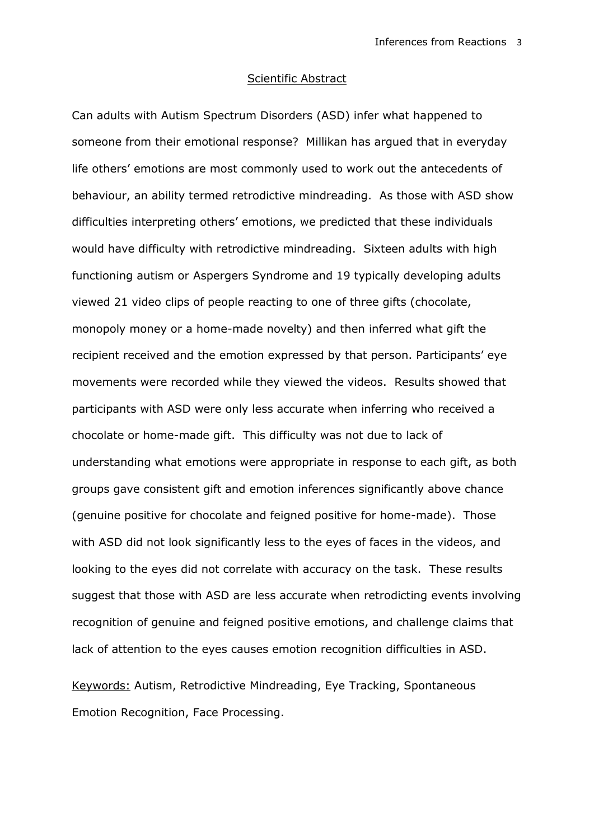# Scientific Abstract

Can adults with Autism Spectrum Disorders (ASD) infer what happened to someone from their emotional response? Millikan has argued that in everyday life others' emotions are most commonly used to work out the antecedents of behaviour, an ability termed retrodictive mindreading. As those with ASD show difficulties interpreting others' emotions, we predicted that these individuals would have difficulty with retrodictive mindreading. Sixteen adults with high functioning autism or Aspergers Syndrome and 19 typically developing adults viewed 21 video clips of people reacting to one of three gifts (chocolate, monopoly money or a home-made novelty) and then inferred what gift the recipient received and the emotion expressed by that person. Participants' eye movements were recorded while they viewed the videos. Results showed that participants with ASD were only less accurate when inferring who received a chocolate or home-made gift. This difficulty was not due to lack of understanding what emotions were appropriate in response to each gift, as both groups gave consistent gift and emotion inferences significantly above chance (genuine positive for chocolate and feigned positive for home-made). Those with ASD did not look significantly less to the eyes of faces in the videos, and looking to the eyes did not correlate with accuracy on the task. These results suggest that those with ASD are less accurate when retrodicting events involving recognition of genuine and feigned positive emotions, and challenge claims that lack of attention to the eyes causes emotion recognition difficulties in ASD.

Keywords: Autism, Retrodictive Mindreading, Eye Tracking, Spontaneous Emotion Recognition, Face Processing.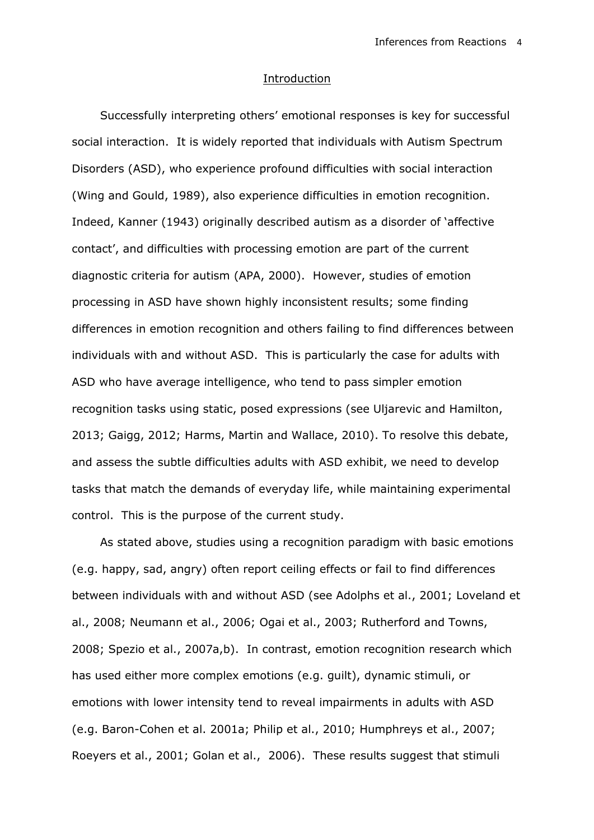# **Introduction**

Successfully interpreting others' emotional responses is key for successful social interaction. It is widely reported that individuals with Autism Spectrum Disorders (ASD), who experience profound difficulties with social interaction (Wing and Gould, 1989), also experience difficulties in emotion recognition. Indeed, Kanner (1943) originally described autism as a disorder of 'affective contact', and difficulties with processing emotion are part of the current diagnostic criteria for autism (APA, 2000). However, studies of emotion processing in ASD have shown highly inconsistent results; some finding differences in emotion recognition and others failing to find differences between individuals with and without ASD. This is particularly the case for adults with ASD who have average intelligence, who tend to pass simpler emotion recognition tasks using static, posed expressions (see Uljarevic and Hamilton, 2013; Gaigg, 2012; Harms, Martin and Wallace, 2010). To resolve this debate, and assess the subtle difficulties adults with ASD exhibit, we need to develop tasks that match the demands of everyday life, while maintaining experimental control. This is the purpose of the current study.

As stated above, studies using a recognition paradigm with basic emotions (e.g. happy, sad, angry) often report ceiling effects or fail to find differences between individuals with and without ASD (see Adolphs et al., 2001; Loveland et al., 2008; Neumann et al., 2006; Ogai et al., 2003; Rutherford and Towns, 2008; Spezio et al., 2007a,b). In contrast, emotion recognition research which has used either more complex emotions (e.g. guilt), dynamic stimuli, or emotions with lower intensity tend to reveal impairments in adults with ASD (e.g. Baron-Cohen et al. 2001a; Philip et al., 2010; Humphreys et al., 2007; Roeyers et al., 2001; Golan et al., 2006). These results suggest that stimuli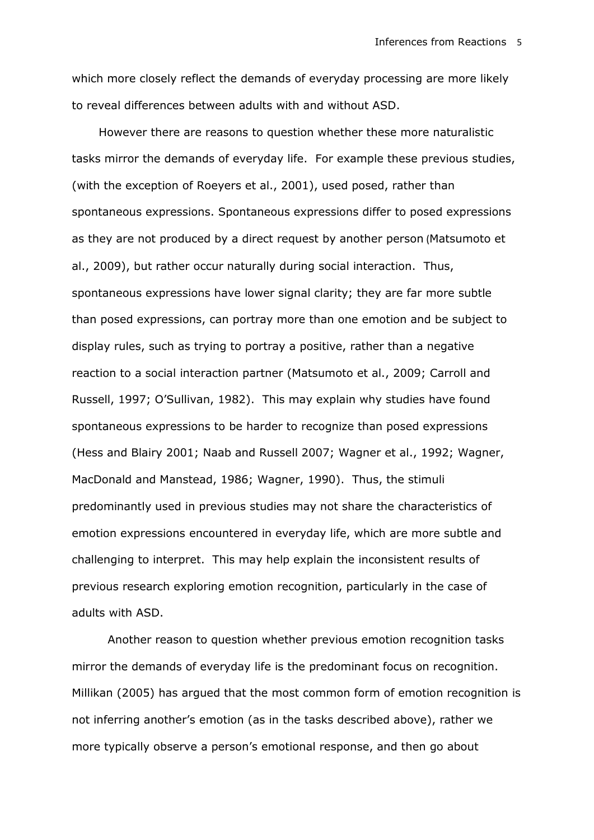which more closely reflect the demands of everyday processing are more likely to reveal differences between adults with and without ASD.

However there are reasons to question whether these more naturalistic tasks mirror the demands of everyday life. For example these previous studies, (with the exception of Roeyers et al., 2001), used posed, rather than spontaneous expressions. Spontaneous expressions differ to posed expressions as they are not produced by a direct request by another person (Matsumoto et al., 2009), but rather occur naturally during social interaction. Thus, spontaneous expressions have lower signal clarity; they are far more subtle than posed expressions, can portray more than one emotion and be subject to display rules, such as trying to portray a positive, rather than a negative reaction to a social interaction partner (Matsumoto et al., 2009; Carroll and Russell, 1997; O'Sullivan, 1982). This may explain why studies have found spontaneous expressions to be harder to recognize than posed expressions (Hess and Blairy 2001; Naab and Russell 2007; Wagner et al., 1992; Wagner, MacDonald and Manstead, 1986; Wagner, 1990). Thus, the stimuli predominantly used in previous studies may not share the characteristics of emotion expressions encountered in everyday life, which are more subtle and challenging to interpret. This may help explain the inconsistent results of previous research exploring emotion recognition, particularly in the case of adults with ASD.

Another reason to question whether previous emotion recognition tasks mirror the demands of everyday life is the predominant focus on recognition. Millikan (2005) has argued that the most common form of emotion recognition is not inferring another's emotion (as in the tasks described above), rather we more typically observe a person's emotional response, and then go about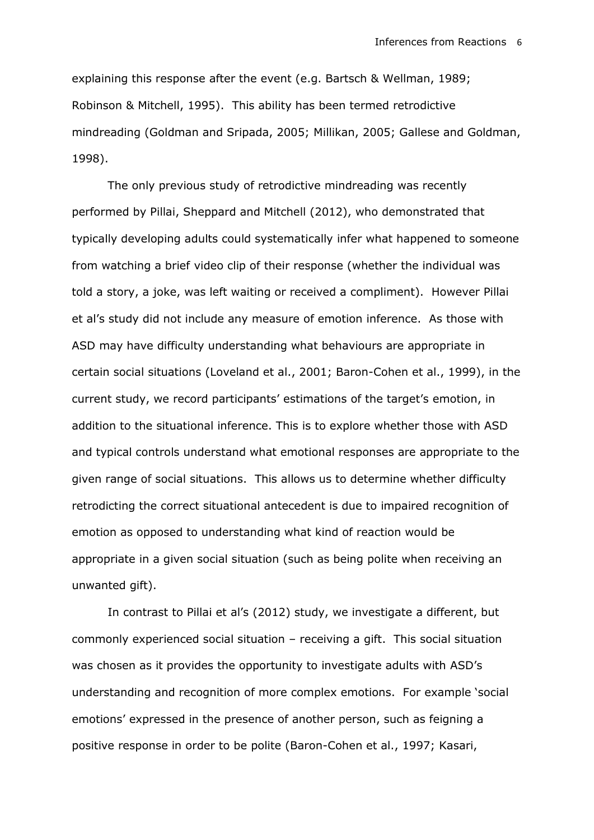explaining this response after the event (e.g. Bartsch & Wellman, 1989; Robinson & Mitchell, 1995). This ability has been termed retrodictive mindreading (Goldman and Sripada, 2005; Millikan, 2005; Gallese and Goldman, 1998).

The only previous study of retrodictive mindreading was recently performed by Pillai, Sheppard and Mitchell (2012), who demonstrated that typically developing adults could systematically infer what happened to someone from watching a brief video clip of their response (whether the individual was told a story, a joke, was left waiting or received a compliment). However Pillai et al's study did not include any measure of emotion inference. As those with ASD may have difficulty understanding what behaviours are appropriate in certain social situations (Loveland et al., 2001; Baron-Cohen et al., 1999), in the current study, we record participants' estimations of the target's emotion, in addition to the situational inference. This is to explore whether those with ASD and typical controls understand what emotional responses are appropriate to the given range of social situations. This allows us to determine whether difficulty retrodicting the correct situational antecedent is due to impaired recognition of emotion as opposed to understanding what kind of reaction would be appropriate in a given social situation (such as being polite when receiving an unwanted gift).

In contrast to Pillai et al's (2012) study, we investigate a different, but commonly experienced social situation – receiving a gift. This social situation was chosen as it provides the opportunity to investigate adults with ASD's understanding and recognition of more complex emotions. For example 'social emotions' expressed in the presence of another person, such as feigning a positive response in order to be polite (Baron-Cohen et al., 1997; Kasari,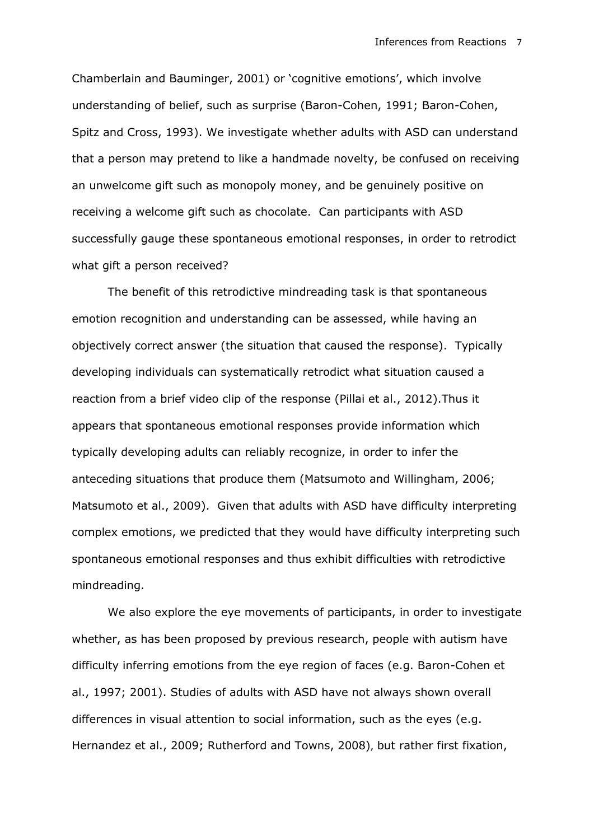Chamberlain and Bauminger, 2001) or 'cognitive emotions', which involve understanding of belief, such as surprise (Baron-Cohen, 1991; Baron-Cohen, Spitz and Cross, 1993). We investigate whether adults with ASD can understand that a person may pretend to like a handmade novelty, be confused on receiving an unwelcome gift such as monopoly money, and be genuinely positive on receiving a welcome gift such as chocolate. Can participants with ASD successfully gauge these spontaneous emotional responses, in order to retrodict what gift a person received?

The benefit of this retrodictive mindreading task is that spontaneous emotion recognition and understanding can be assessed, while having an objectively correct answer (the situation that caused the response). Typically developing individuals can systematically retrodict what situation caused a reaction from a brief video clip of the response (Pillai et al., 2012).Thus it appears that spontaneous emotional responses provide information which typically developing adults can reliably recognize, in order to infer the anteceding situations that produce them (Matsumoto and Willingham, 2006; Matsumoto et al., 2009). Given that adults with ASD have difficulty interpreting complex emotions, we predicted that they would have difficulty interpreting such spontaneous emotional responses and thus exhibit difficulties with retrodictive mindreading.

We also explore the eye movements of participants, in order to investigate whether, as has been proposed by previous research, people with autism have difficulty inferring emotions from the eye region of faces (e.g. Baron-Cohen et al., 1997; 2001). Studies of adults with ASD have not always shown overall differences in visual attention to social information, such as the eyes (e.g. Hernandez et al., 2009; Rutherford and Towns, 2008), but rather first fixation,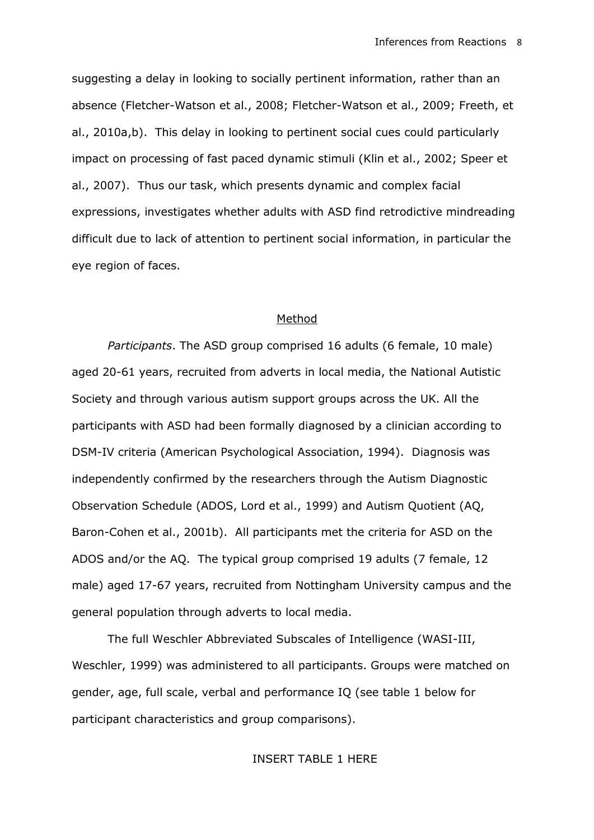suggesting a delay in looking to socially pertinent information, rather than an absence (Fletcher-Watson et al., 2008; Fletcher-Watson et al., 2009; Freeth, et al., 2010a,b). This delay in looking to pertinent social cues could particularly impact on processing of fast paced dynamic stimuli (Klin et al., 2002; Speer et al., 2007). Thus our task, which presents dynamic and complex facial expressions, investigates whether adults with ASD find retrodictive mindreading difficult due to lack of attention to pertinent social information, in particular the eye region of faces.

# Method

*Participants*. The ASD group comprised 16 adults (6 female, 10 male) aged 20-61 years, recruited from adverts in local media, the National Autistic Society and through various autism support groups across the UK. All the participants with ASD had been formally diagnosed by a clinician according to DSM-IV criteria (American Psychological Association, 1994). Diagnosis was independently confirmed by the researchers through the Autism Diagnostic Observation Schedule (ADOS, Lord et al., 1999) and Autism Quotient (AQ, Baron-Cohen et al., 2001b). All participants met the criteria for ASD on the ADOS and/or the AQ. The typical group comprised 19 adults (7 female, 12 male) aged 17-67 years, recruited from Nottingham University campus and the general population through adverts to local media.

The full Weschler Abbreviated Subscales of Intelligence (WASI-III, Weschler, 1999) was administered to all participants. Groups were matched on gender, age, full scale, verbal and performance IQ (see table 1 below for participant characteristics and group comparisons).

# INSERT TABLE 1 HERE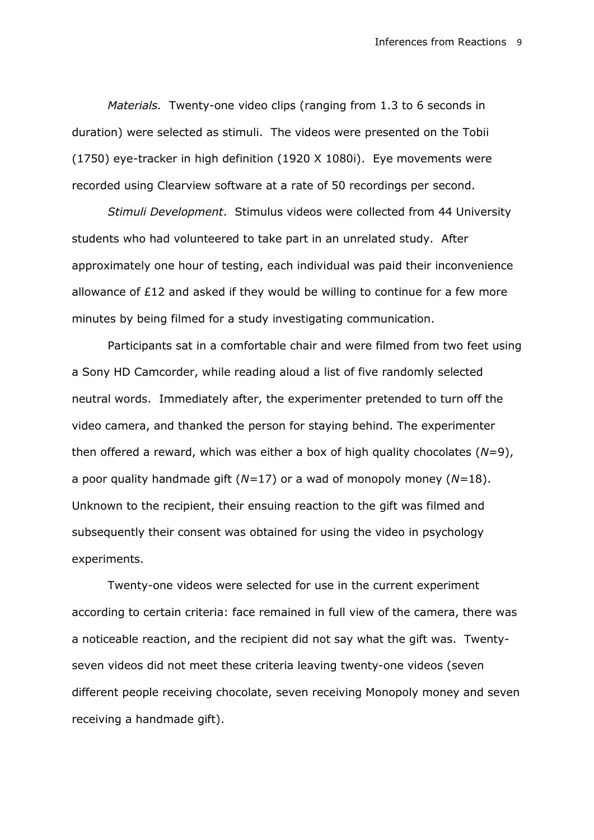*Materials.* Twenty-one video clips (ranging from 1.3 to 6 seconds in duration) were selected as stimuli. The videos were presented on the Tobii (1750) eye-tracker in high definition (1920 X 1080i). Eye movements were recorded using Clearview software at a rate of 50 recordings per second.

*Stimuli Development*. Stimulus videos were collected from 44 University students who had volunteered to take part in an unrelated study. After approximately one hour of testing, each individual was paid their inconvenience allowance of £12 and asked if they would be willing to continue for a few more minutes by being filmed for a study investigating communication.

Participants sat in a comfortable chair and were filmed from two feet using a Sony HD Camcorder, while reading aloud a list of five randomly selected neutral words. Immediately after, the experimenter pretended to turn off the video camera, and thanked the person for staying behind. The experimenter then offered a reward, which was either a box of high quality chocolates (*N*=9), a poor quality handmade gift (*N=*17) or a wad of monopoly money (*N=*18). Unknown to the recipient, their ensuing reaction to the gift was filmed and subsequently their consent was obtained for using the video in psychology experiments.

Twenty-one videos were selected for use in the current experiment according to certain criteria: face remained in full view of the camera, there was a noticeable reaction, and the recipient did not say what the gift was. Twentyseven videos did not meet these criteria leaving twenty-one videos (seven different people receiving chocolate, seven receiving Monopoly money and seven receiving a handmade gift).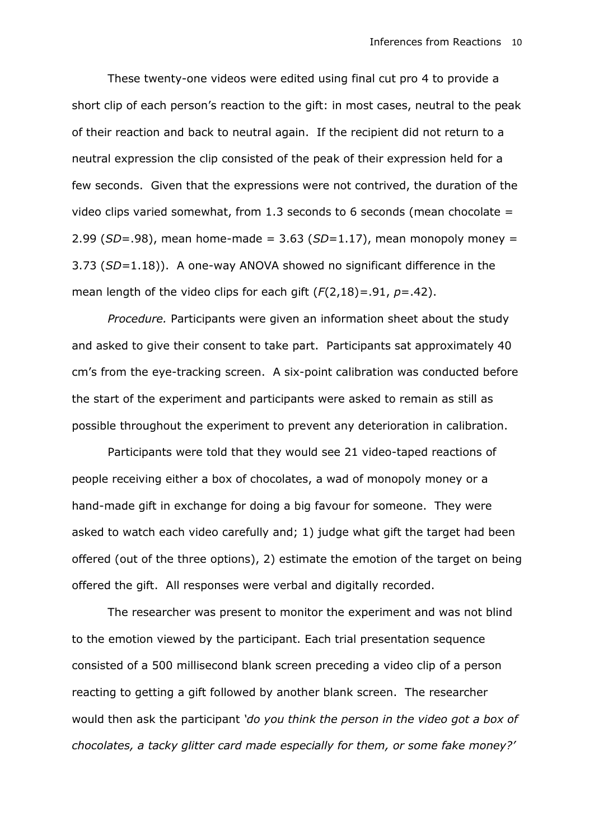These twenty-one videos were edited using final cut pro 4 to provide a short clip of each person's reaction to the gift: in most cases, neutral to the peak of their reaction and back to neutral again. If the recipient did not return to a neutral expression the clip consisted of the peak of their expression held for a few seconds. Given that the expressions were not contrived, the duration of the video clips varied somewhat, from 1.3 seconds to 6 seconds (mean chocolate  $=$ 2.99 (*SD*=.98), mean home-made = 3.63 (*SD*=1.17), mean monopoly money = 3.73 (*SD=*1.18)). A one-way ANOVA showed no significant difference in the mean length of the video clips for each gift (*F*(2,18)*=*.91, *p*=.42).

*Procedure.* Participants were given an information sheet about the study and asked to give their consent to take part. Participants sat approximately 40 cm's from the eye-tracking screen. A six-point calibration was conducted before the start of the experiment and participants were asked to remain as still as possible throughout the experiment to prevent any deterioration in calibration.

Participants were told that they would see 21 video-taped reactions of people receiving either a box of chocolates, a wad of monopoly money or a hand-made gift in exchange for doing a big favour for someone. They were asked to watch each video carefully and; 1) judge what gift the target had been offered (out of the three options), 2) estimate the emotion of the target on being offered the gift. All responses were verbal and digitally recorded.

The researcher was present to monitor the experiment and was not blind to the emotion viewed by the participant. Each trial presentation sequence consisted of a 500 millisecond blank screen preceding a video clip of a person reacting to getting a gift followed by another blank screen. The researcher would then ask the participant *'do you think the person in the video got a box of chocolates, a tacky glitter card made especially for them, or some fake money?'*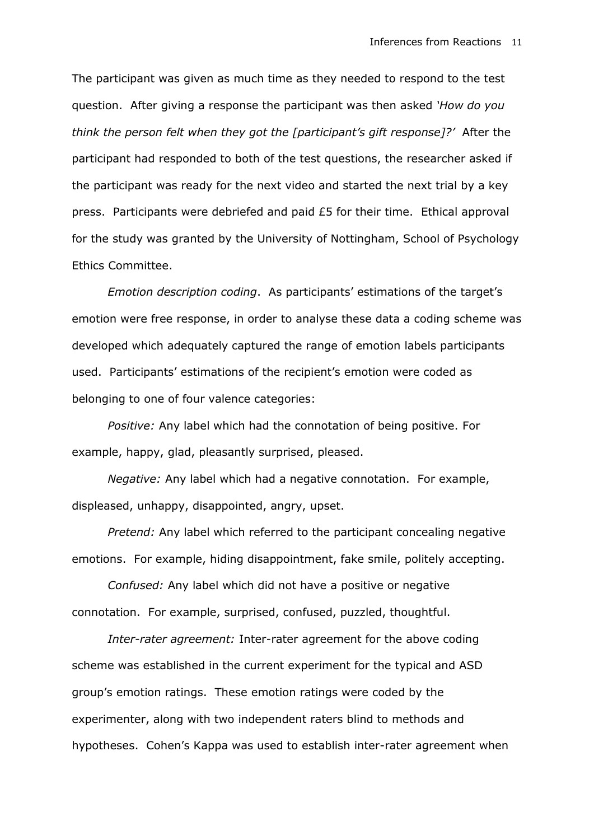The participant was given as much time as they needed to respond to the test question. After giving a response the participant was then asked *'How do you think the person felt when they got the [participant's gift response]?'* After the participant had responded to both of the test questions, the researcher asked if the participant was ready for the next video and started the next trial by a key press. Participants were debriefed and paid £5 for their time. Ethical approval for the study was granted by the University of Nottingham, School of Psychology Ethics Committee.

*Emotion description coding*. As participants' estimations of the target's emotion were free response, in order to analyse these data a coding scheme was developed which adequately captured the range of emotion labels participants used. Participants' estimations of the recipient's emotion were coded as belonging to one of four valence categories:

*Positive:* Any label which had the connotation of being positive. For example, happy, glad, pleasantly surprised, pleased.

*Negative:* Any label which had a negative connotation. For example, displeased, unhappy, disappointed, angry, upset.

*Pretend:* Any label which referred to the participant concealing negative emotions. For example, hiding disappointment, fake smile, politely accepting.

*Confused:* Any label which did not have a positive or negative connotation. For example, surprised, confused, puzzled, thoughtful.

*Inter-rater agreement:* Inter-rater agreement for the above coding scheme was established in the current experiment for the typical and ASD group's emotion ratings. These emotion ratings were coded by the experimenter, along with two independent raters blind to methods and hypotheses. Cohen's Kappa was used to establish inter-rater agreement when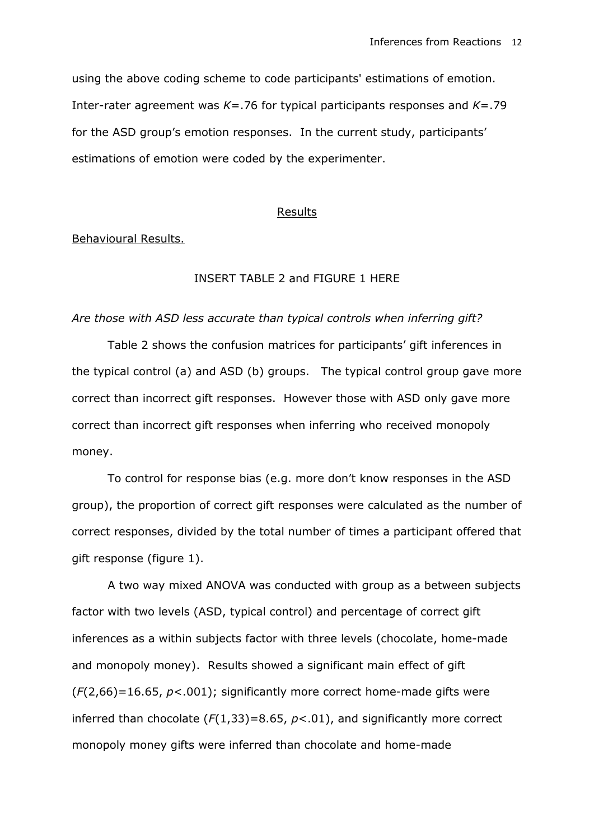using the above coding scheme to code participants' estimations of emotion. Inter-rater agreement was *K*=.76 for typical participants responses and *K*=.79 for the ASD group's emotion responses. In the current study, participants' estimations of emotion were coded by the experimenter.

# Results

Behavioural Results.

# INSERT TABLE 2 and FIGURE 1 HERE

# *Are those with ASD less accurate than typical controls when inferring gift?*

Table 2 shows the confusion matrices for participants' gift inferences in the typical control (a) and ASD (b) groups. The typical control group gave more correct than incorrect gift responses. However those with ASD only gave more correct than incorrect gift responses when inferring who received monopoly money.

To control for response bias (e.g. more don't know responses in the ASD group), the proportion of correct gift responses were calculated as the number of correct responses, divided by the total number of times a participant offered that gift response (figure 1).

A two way mixed ANOVA was conducted with group as a between subjects factor with two levels (ASD, typical control) and percentage of correct gift inferences as a within subjects factor with three levels (chocolate, home-made and monopoly money). Results showed a significant main effect of gift (*F*(2,66)=16.65, *p*<.001); significantly more correct home-made gifts were inferred than chocolate (*F*(1,33)=8.65, *p*<.01), and significantly more correct monopoly money gifts were inferred than chocolate and home-made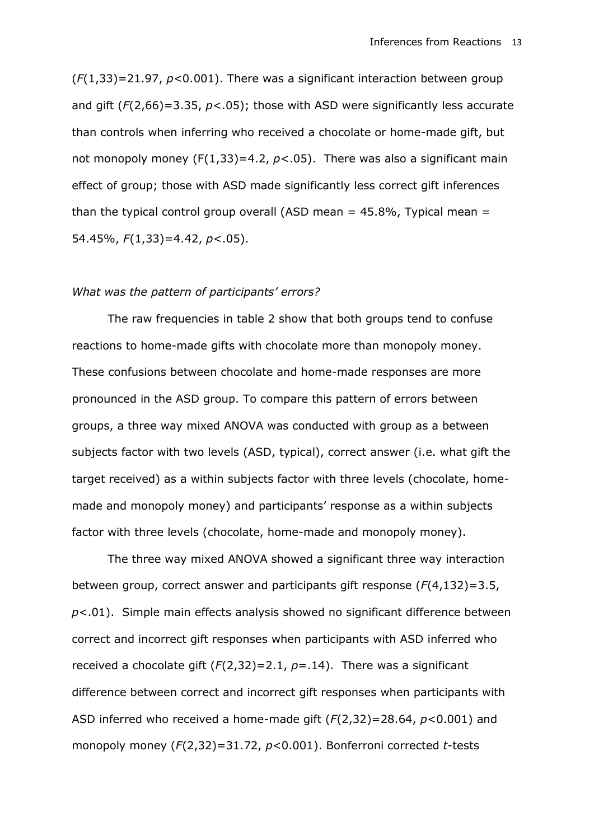(*F*(1,33)=21.97, *p*<0.001). There was a significant interaction between group and gift (*F*(2,66)=3.35, *p*<.05); those with ASD were significantly less accurate than controls when inferring who received a chocolate or home-made gift, but not monopoly money  $(F(1,33)=4.2, p<.05)$ . There was also a significant main effect of group; those with ASD made significantly less correct gift inferences than the typical control group overall (ASD mean  $=$  45.8%, Typical mean  $=$ 54.45%, *F*(1,33)=4.42, *p*<.05).

# *What was the pattern of participants' errors?*

The raw frequencies in table 2 show that both groups tend to confuse reactions to home-made gifts with chocolate more than monopoly money. These confusions between chocolate and home-made responses are more pronounced in the ASD group. To compare this pattern of errors between groups, a three way mixed ANOVA was conducted with group as a between subjects factor with two levels (ASD, typical), correct answer (i.e. what gift the target received) as a within subjects factor with three levels (chocolate, homemade and monopoly money) and participants' response as a within subjects factor with three levels (chocolate, home-made and monopoly money).

The three way mixed ANOVA showed a significant three way interaction between group, correct answer and participants gift response (*F*(4,132)=3.5, *p*<.01). Simple main effects analysis showed no significant difference between correct and incorrect gift responses when participants with ASD inferred who received a chocolate gift (*F*(2,32)=2.1, *p*=.14). There was a significant difference between correct and incorrect gift responses when participants with ASD inferred who received a home-made gift (*F*(2,32)=28.64, *p*<0.001) and monopoly money (*F*(2,32)=31.72, *p*<0.001). Bonferroni corrected *t*-tests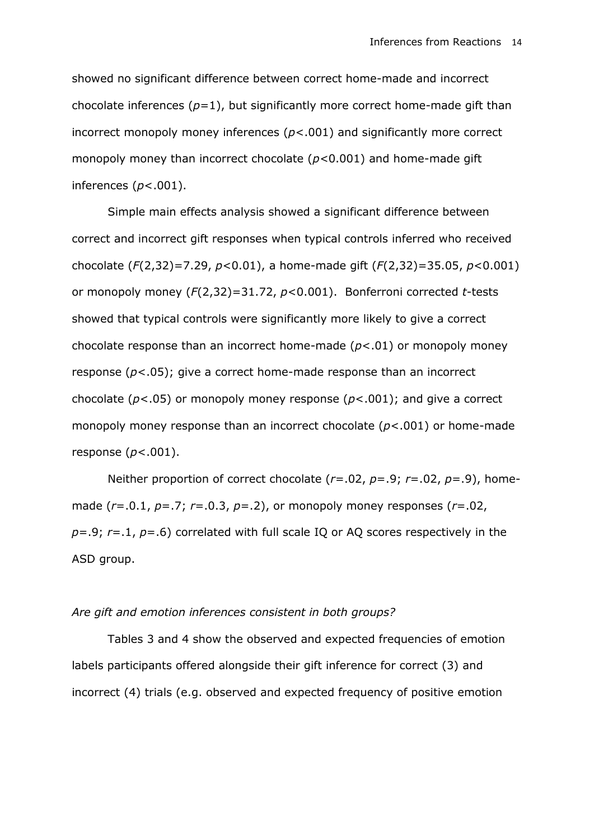showed no significant difference between correct home-made and incorrect chocolate inferences  $(p=1)$ , but significantly more correct home-made gift than incorrect monopoly money inferences (*p*<.001) and significantly more correct monopoly money than incorrect chocolate (*p<*0.001) and home-made gift inferences (*p*<.001).

Simple main effects analysis showed a significant difference between correct and incorrect gift responses when typical controls inferred who received chocolate (*F*(2,32)=7.29, *p*<0.01), a home-made gift (*F*(2,32)=35.05, *p*<0.001) or monopoly money (*F*(2,32)=31.72, *p*<0.001). Bonferroni corrected *t*-tests showed that typical controls were significantly more likely to give a correct chocolate response than an incorrect home-made (*p*<.01) or monopoly money response (*p*<.05); give a correct home-made response than an incorrect chocolate (*p*<.05) or monopoly money response (*p*<.001); and give a correct monopoly money response than an incorrect chocolate (*p*<.001) or home-made response (*p*<.001).

Neither proportion of correct chocolate (*r*=.02, *p*=.9; *r*=.02, *p*=.9), homemade (*r*=.0.1, *p*=.7; *r*=.0.3, *p*=.2), or monopoly money responses (*r*=.02, *p*=.9; *r*=.1, *p*=.6) correlated with full scale IQ or AQ scores respectively in the ASD group.

# *Are gift and emotion inferences consistent in both groups?*

Tables 3 and 4 show the observed and expected frequencies of emotion labels participants offered alongside their gift inference for correct (3) and incorrect (4) trials (e.g. observed and expected frequency of positive emotion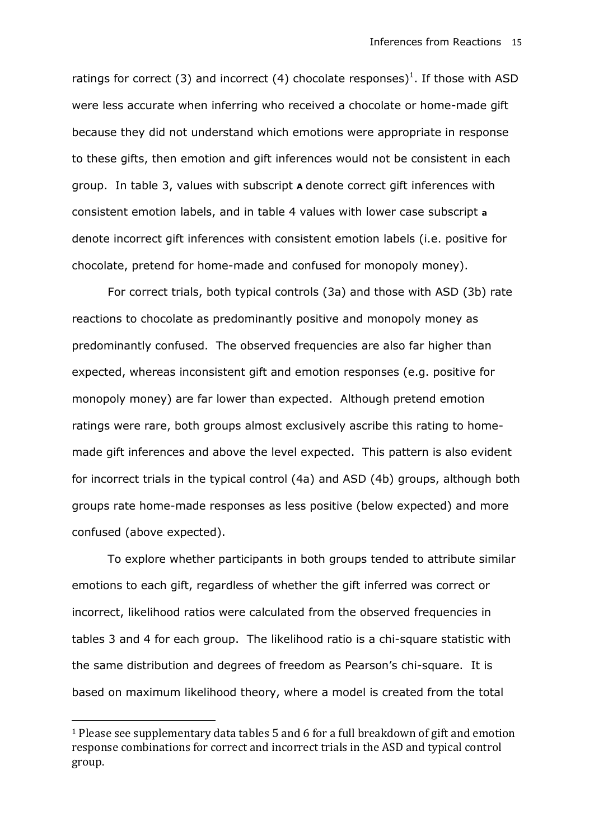ratings for correct (3) and incorrect (4) chocolate responses)<sup>1</sup>. If those with ASD were less accurate when inferring who received a chocolate or home-made gift because they did not understand which emotions were appropriate in response to these gifts, then emotion and gift inferences would not be consistent in each group. In table 3, values with subscript **A** denote correct gift inferences with consistent emotion labels, and in table 4 values with lower case subscript **a** denote incorrect gift inferences with consistent emotion labels (i.e. positive for chocolate, pretend for home-made and confused for monopoly money).

For correct trials, both typical controls (3a) and those with ASD (3b) rate reactions to chocolate as predominantly positive and monopoly money as predominantly confused. The observed frequencies are also far higher than expected, whereas inconsistent gift and emotion responses (e.g. positive for monopoly money) are far lower than expected. Although pretend emotion ratings were rare, both groups almost exclusively ascribe this rating to homemade gift inferences and above the level expected. This pattern is also evident for incorrect trials in the typical control (4a) and ASD (4b) groups, although both groups rate home-made responses as less positive (below expected) and more confused (above expected).

To explore whether participants in both groups tended to attribute similar emotions to each gift, regardless of whether the gift inferred was correct or incorrect, likelihood ratios were calculated from the observed frequencies in tables 3 and 4 for each group. The likelihood ratio is a chi-square statistic with the same distribution and degrees of freedom as Pearson's chi-square. It is based on maximum likelihood theory, where a model is created from the total

**.** 

<sup>1</sup> Please see supplementary data tables 5 and 6 for a full breakdown of gift and emotion response combinations for correct and incorrect trials in the ASD and typical control group.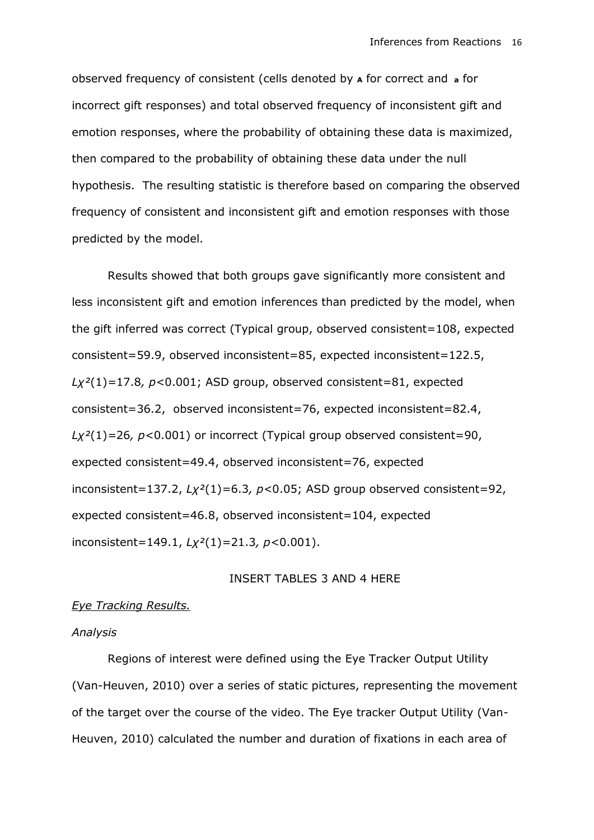observed frequency of consistent (cells denoted by **<sup>A</sup>** for correct and **<sup>a</sup>** for incorrect gift responses) and total observed frequency of inconsistent gift and emotion responses, where the probability of obtaining these data is maximized, then compared to the probability of obtaining these data under the null hypothesis. The resulting statistic is therefore based on comparing the observed frequency of consistent and inconsistent gift and emotion responses with those predicted by the model.

Results showed that both groups gave significantly more consistent and less inconsistent gift and emotion inferences than predicted by the model, when the gift inferred was correct (Typical group, observed consistent=108, expected consistent=59.9, observed inconsistent=85, expected inconsistent=122.5, *Lχ²*(1)*=*17.8*, p<*0.001; ASD group, observed consistent=81, expected consistent=36.2, observed inconsistent=76, expected inconsistent=82.4, *Lχ²*(1)*=*26*, p<*0.001) or incorrect (Typical group observed consistent=90, expected consistent=49.4, observed inconsistent=76, expected inconsistent=137.2, *Lχ²*(1)*=*6.3*, p<*0.05; ASD group observed consistent=92, expected consistent=46.8, observed inconsistent=104, expected inconsistent=149.1, *Lχ²*(1)*=*21.3*, p<*0.001).

# INSERT TABLES 3 AND 4 HERE

# *Eye Tracking Results.*

# *Analysis*

Regions of interest were defined using the Eye Tracker Output Utility (Van-Heuven, 2010) over a series of static pictures, representing the movement of the target over the course of the video. The Eye tracker Output Utility (Van-Heuven, 2010) calculated the number and duration of fixations in each area of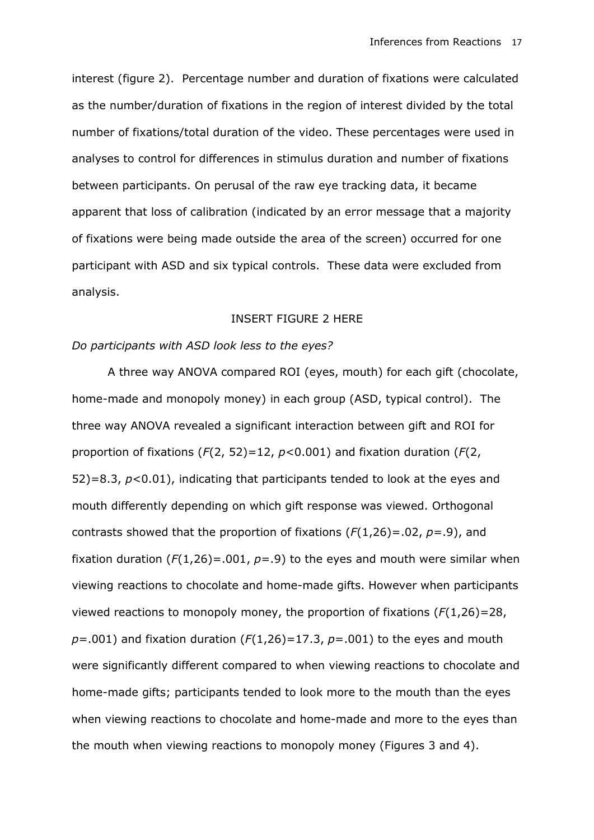interest (figure 2). Percentage number and duration of fixations were calculated as the number/duration of fixations in the region of interest divided by the total number of fixations/total duration of the video. These percentages were used in analyses to control for differences in stimulus duration and number of fixations between participants. On perusal of the raw eye tracking data, it became apparent that loss of calibration (indicated by an error message that a majority of fixations were being made outside the area of the screen) occurred for one participant with ASD and six typical controls. These data were excluded from analysis.

# INSERT FIGURE 2 HERE

# *Do participants with ASD look less to the eyes?*

A three way ANOVA compared ROI (eyes, mouth) for each gift (chocolate, home-made and monopoly money) in each group (ASD, typical control). The three way ANOVA revealed a significant interaction between gift and ROI for proportion of fixations (*F*(2, 52)=12, *p*<0.001) and fixation duration (*F*(2, 52)=8.3, *p*<0.01), indicating that participants tended to look at the eyes and mouth differently depending on which gift response was viewed. Orthogonal contrasts showed that the proportion of fixations (*F*(1,26)=.02, *p*=.9), and fixation duration  $(F(1,26) = .001, p = .9)$  to the eyes and mouth were similar when viewing reactions to chocolate and home-made gifts. However when participants viewed reactions to monopoly money, the proportion of fixations (*F*(1,26)=28,  $p = .001$ ) and fixation duration ( $F(1,26) = 17.3$ ,  $p = .001$ ) to the eyes and mouth were significantly different compared to when viewing reactions to chocolate and home-made gifts; participants tended to look more to the mouth than the eyes when viewing reactions to chocolate and home-made and more to the eyes than the mouth when viewing reactions to monopoly money (Figures 3 and 4).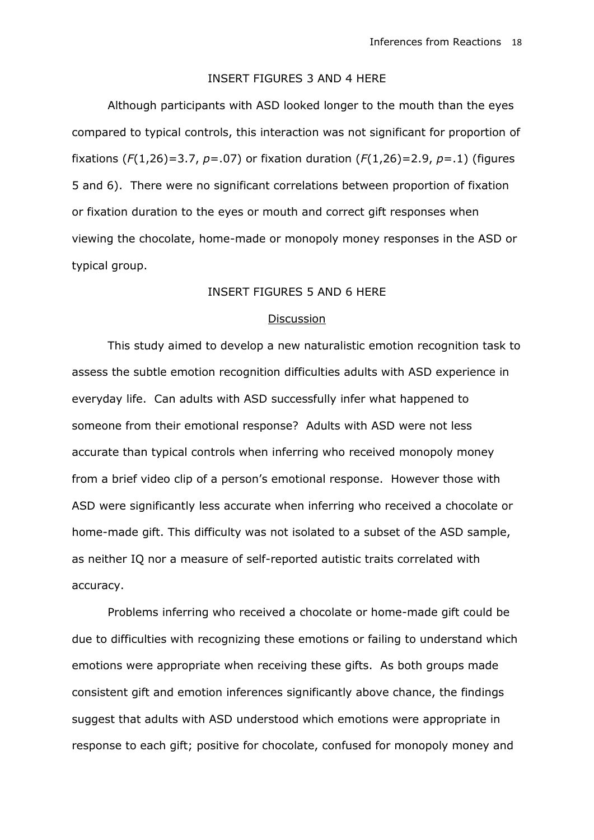# INSERT FIGURES 3 AND 4 HERE

Although participants with ASD looked longer to the mouth than the eyes compared to typical controls, this interaction was not significant for proportion of fixations (*F*(1,26)=3.7, *p*=.07) or fixation duration (*F*(1,26)=2.9, *p*=.1) (figures 5 and 6). There were no significant correlations between proportion of fixation or fixation duration to the eyes or mouth and correct gift responses when viewing the chocolate, home-made or monopoly money responses in the ASD or typical group.

# INSERT FIGURES 5 AND 6 HERE

#### Discussion

This study aimed to develop a new naturalistic emotion recognition task to assess the subtle emotion recognition difficulties adults with ASD experience in everyday life. Can adults with ASD successfully infer what happened to someone from their emotional response? Adults with ASD were not less accurate than typical controls when inferring who received monopoly money from a brief video clip of a person's emotional response. However those with ASD were significantly less accurate when inferring who received a chocolate or home-made gift. This difficulty was not isolated to a subset of the ASD sample, as neither IQ nor a measure of self-reported autistic traits correlated with accuracy.

Problems inferring who received a chocolate or home-made gift could be due to difficulties with recognizing these emotions or failing to understand which emotions were appropriate when receiving these gifts. As both groups made consistent gift and emotion inferences significantly above chance, the findings suggest that adults with ASD understood which emotions were appropriate in response to each gift; positive for chocolate, confused for monopoly money and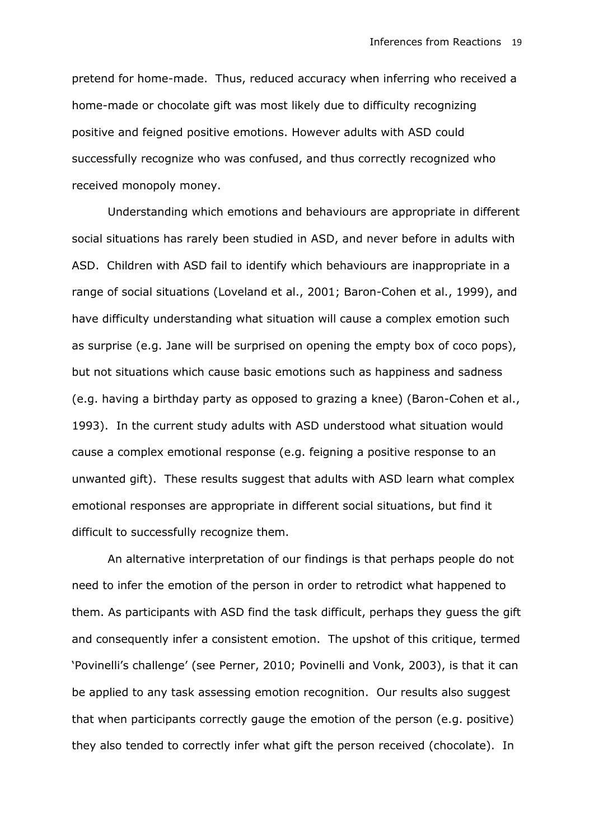pretend for home-made. Thus, reduced accuracy when inferring who received a home-made or chocolate gift was most likely due to difficulty recognizing positive and feigned positive emotions. However adults with ASD could successfully recognize who was confused, and thus correctly recognized who received monopoly money.

Understanding which emotions and behaviours are appropriate in different social situations has rarely been studied in ASD, and never before in adults with ASD. Children with ASD fail to identify which behaviours are inappropriate in a range of social situations (Loveland et al., 2001; Baron-Cohen et al., 1999), and have difficulty understanding what situation will cause a complex emotion such as surprise (e.g. Jane will be surprised on opening the empty box of coco pops), but not situations which cause basic emotions such as happiness and sadness (e.g. having a birthday party as opposed to grazing a knee) (Baron-Cohen et al., 1993). In the current study adults with ASD understood what situation would cause a complex emotional response (e.g. feigning a positive response to an unwanted gift). These results suggest that adults with ASD learn what complex emotional responses are appropriate in different social situations, but find it difficult to successfully recognize them.

An alternative interpretation of our findings is that perhaps people do not need to infer the emotion of the person in order to retrodict what happened to them. As participants with ASD find the task difficult, perhaps they guess the gift and consequently infer a consistent emotion. The upshot of this critique, termed 'Povinelli's challenge' (see Perner, 2010; Povinelli and Vonk, 2003), is that it can be applied to any task assessing emotion recognition. Our results also suggest that when participants correctly gauge the emotion of the person (e.g. positive) they also tended to correctly infer what gift the person received (chocolate). In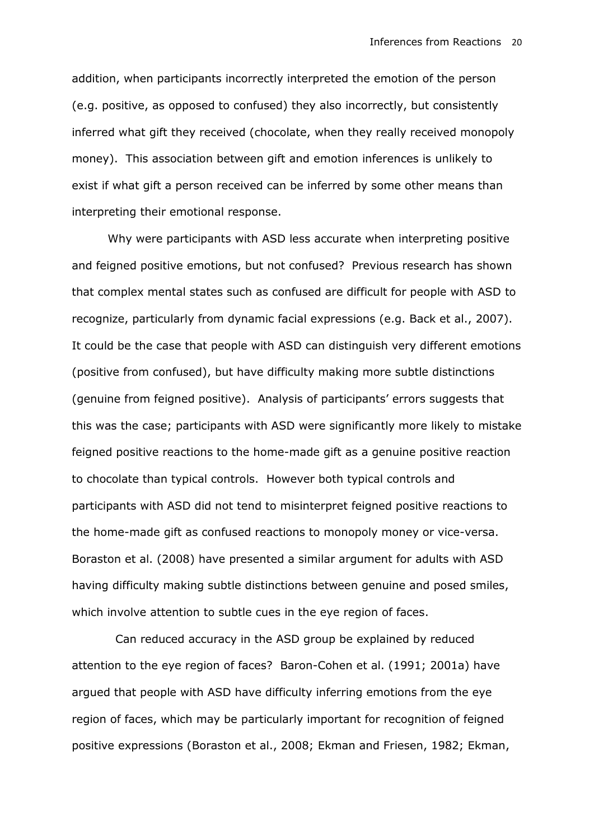addition, when participants incorrectly interpreted the emotion of the person (e.g. positive, as opposed to confused) they also incorrectly, but consistently inferred what gift they received (chocolate, when they really received monopoly money). This association between gift and emotion inferences is unlikely to exist if what gift a person received can be inferred by some other means than interpreting their emotional response.

Why were participants with ASD less accurate when interpreting positive and feigned positive emotions, but not confused? Previous research has shown that complex mental states such as confused are difficult for people with ASD to recognize, particularly from dynamic facial expressions (e.g. Back et al., 2007). It could be the case that people with ASD can distinguish very different emotions (positive from confused), but have difficulty making more subtle distinctions (genuine from feigned positive). Analysis of participants' errors suggests that this was the case; participants with ASD were significantly more likely to mistake feigned positive reactions to the home-made gift as a genuine positive reaction to chocolate than typical controls. However both typical controls and participants with ASD did not tend to misinterpret feigned positive reactions to the home-made gift as confused reactions to monopoly money or vice-versa. Boraston et al. (2008) have presented a similar argument for adults with ASD having difficulty making subtle distinctions between genuine and posed smiles, which involve attention to subtle cues in the eye region of faces.

 Can reduced accuracy in the ASD group be explained by reduced attention to the eye region of faces? Baron-Cohen et al. (1991; 2001a) have argued that people with ASD have difficulty inferring emotions from the eye region of faces, which may be particularly important for recognition of feigned positive expressions (Boraston et al., 2008; Ekman and Friesen, 1982; Ekman,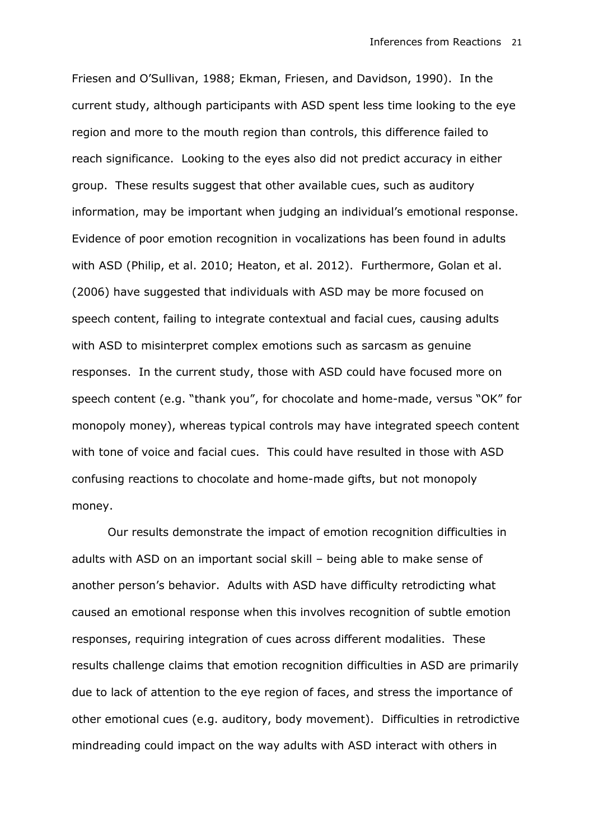Friesen and O'Sullivan, 1988; Ekman, Friesen, and Davidson, 1990). In the current study, although participants with ASD spent less time looking to the eye region and more to the mouth region than controls, this difference failed to reach significance. Looking to the eyes also did not predict accuracy in either group. These results suggest that other available cues, such as auditory information, may be important when judging an individual's emotional response. Evidence of poor emotion recognition in vocalizations has been found in adults with ASD (Philip, et al. 2010; Heaton, et al. 2012). Furthermore, Golan et al. (2006) have suggested that individuals with ASD may be more focused on speech content, failing to integrate contextual and facial cues, causing adults with ASD to misinterpret complex emotions such as sarcasm as genuine responses. In the current study, those with ASD could have focused more on speech content (e.g. "thank you", for chocolate and home-made, versus "OK" for monopoly money), whereas typical controls may have integrated speech content with tone of voice and facial cues. This could have resulted in those with ASD confusing reactions to chocolate and home-made gifts, but not monopoly money.

Our results demonstrate the impact of emotion recognition difficulties in adults with ASD on an important social skill – being able to make sense of another person's behavior. Adults with ASD have difficulty retrodicting what caused an emotional response when this involves recognition of subtle emotion responses, requiring integration of cues across different modalities. These results challenge claims that emotion recognition difficulties in ASD are primarily due to lack of attention to the eye region of faces, and stress the importance of other emotional cues (e.g. auditory, body movement). Difficulties in retrodictive mindreading could impact on the way adults with ASD interact with others in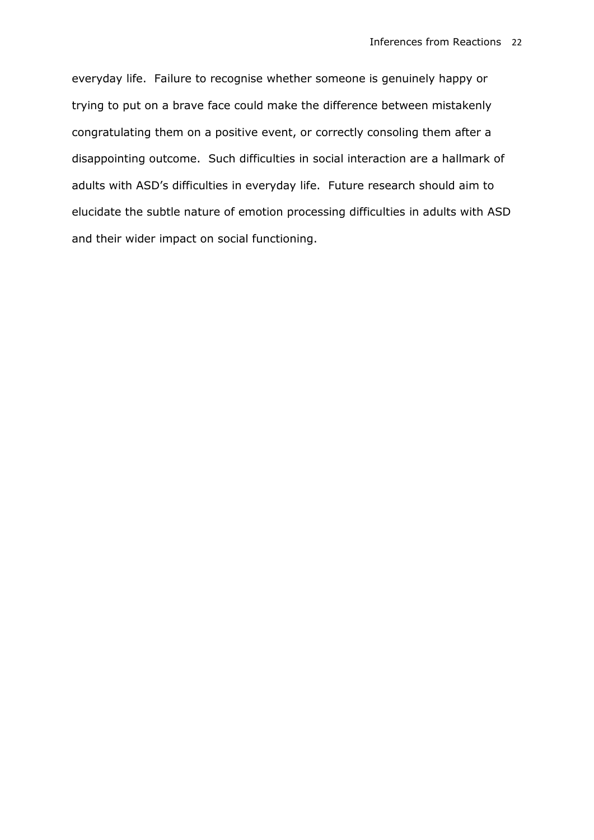everyday life. Failure to recognise whether someone is genuinely happy or trying to put on a brave face could make the difference between mistakenly congratulating them on a positive event, or correctly consoling them after a disappointing outcome. Such difficulties in social interaction are a hallmark of adults with ASD's difficulties in everyday life. Future research should aim to elucidate the subtle nature of emotion processing difficulties in adults with ASD and their wider impact on social functioning.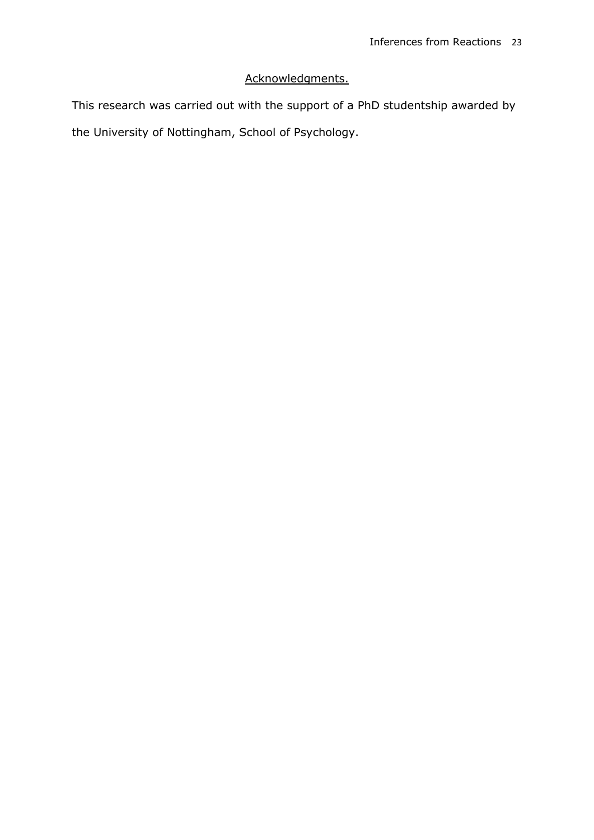# Acknowledgments.

This research was carried out with the support of a PhD studentship awarded by the University of Nottingham, School of Psychology.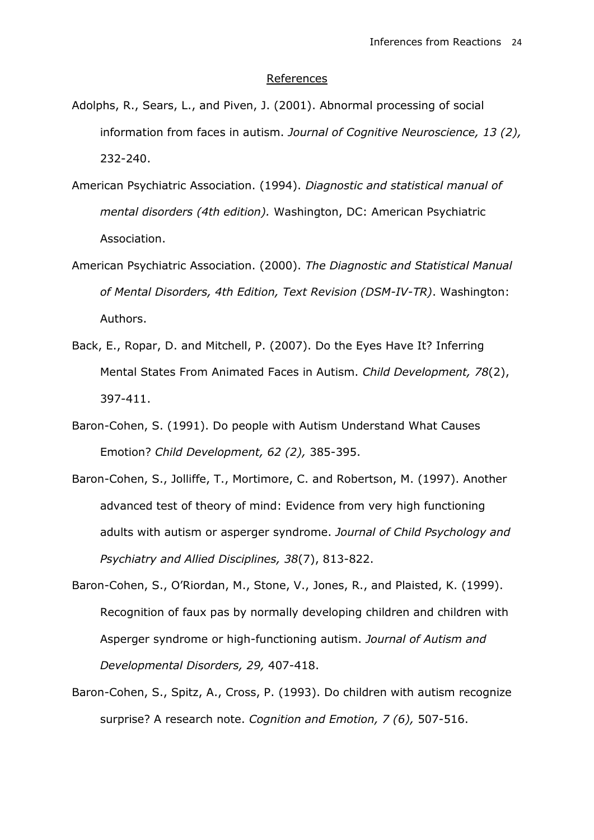#### References

- Adolphs, R., Sears, L., and Piven, J. (2001). Abnormal processing of social information from faces in autism. *Journal of Cognitive Neuroscience, 13 (2),*  232-240.
- American Psychiatric Association. (1994). *Diagnostic and statistical manual of mental disorders (4th edition).* Washington, DC: American Psychiatric Association.
- American Psychiatric Association. (2000). *The Diagnostic and Statistical Manual of Mental Disorders, 4th Edition, Text Revision (DSM-IV-TR)*. Washington: Authors.
- Back, E., Ropar, D. and Mitchell, P. (2007). Do the Eyes Have It? Inferring Mental States From Animated Faces in Autism. *Child Development, 78*(2), 397-411.
- Baron-Cohen, S. (1991). Do people with Autism Understand What Causes Emotion? *Child Development, 62 (2),* 385-395.
- Baron-Cohen, S., Jolliffe, T., Mortimore, C. and Robertson, M. (1997). Another advanced test of theory of mind: Evidence from very high functioning adults with autism or asperger syndrome. *Journal of Child Psychology and Psychiatry and Allied Disciplines, 38*(7), 813-822.
- Baron-Cohen, S., O'Riordan, M., Stone, V., Jones, R., and Plaisted, K. (1999). Recognition of faux pas by normally developing children and children with Asperger syndrome or high-functioning autism. *Journal of Autism and Developmental Disorders, 29,* 407-418.
- Baron-Cohen, S., Spitz, A., Cross, P. (1993). Do children with autism recognize surprise? A research note. *Cognition and Emotion, 7 (6),* 507-516.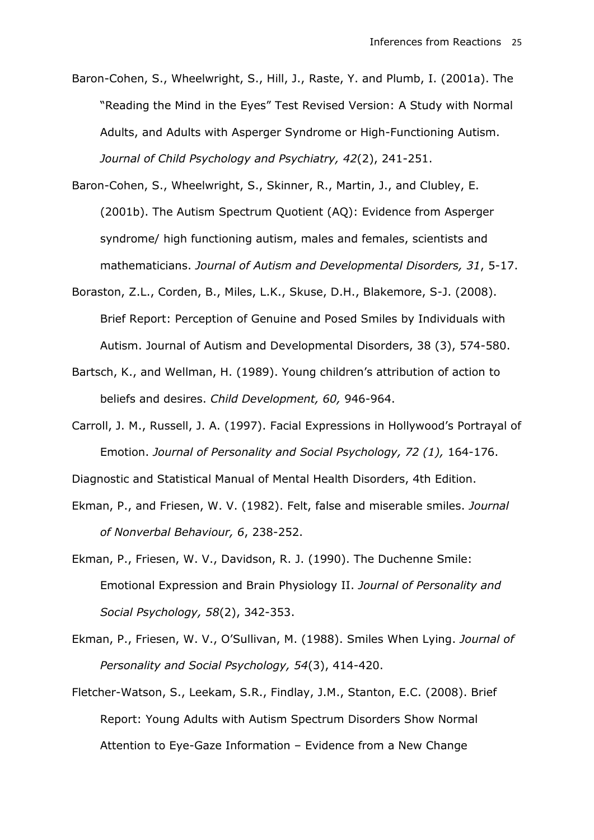- Baron-Cohen, S., Wheelwright, S., Hill, J., Raste, Y. and Plumb, I. (2001a). The "Reading the Mind in the Eyes" Test Revised Version: A Study with Normal Adults, and Adults with Asperger Syndrome or High-Functioning Autism. *Journal of Child Psychology and Psychiatry, 42*(2), 241-251.
- Baron-Cohen, S., Wheelwright, S., Skinner, R., Martin, J., and Clubley, E. (2001b). The Autism Spectrum Quotient (AQ): Evidence from Asperger syndrome/ high functioning autism, males and females, scientists and mathematicians. *Journal of Autism and Developmental Disorders, 31*, 5-17.
- Boraston, Z.L., Corden, B., Miles, L.K., Skuse, D.H., Blakemore, S-J. (2008). Brief Report: Perception of Genuine and Posed Smiles by Individuals with Autism. Journal of Autism and Developmental Disorders, 38 (3), 574-580.
- Bartsch, K., and Wellman, H. (1989). Young children's attribution of action to beliefs and desires. *Child Development, 60,* 946-964.
- Carroll, J. M., Russell, J. A. (1997). Facial Expressions in Hollywood's Portrayal of Emotion. *Journal of Personality and Social Psychology, 72 (1),* 164-176.

Diagnostic and Statistical Manual of Mental Health Disorders, 4th Edition.

- Ekman, P., and Friesen, W. V. (1982). Felt, false and miserable smiles. *Journal of Nonverbal Behaviour, 6*, 238-252.
- Ekman, P., Friesen, W. V., Davidson, R. J. (1990). The Duchenne Smile: Emotional Expression and Brain Physiology II. *Journal of Personality and Social Psychology, 58*(2), 342-353.
- Ekman, P., Friesen, W. V., O'Sullivan, M. (1988). Smiles When Lying. *Journal of Personality and Social Psychology, 54*(3), 414-420.
- Fletcher-Watson, S., Leekam, S.R., Findlay, J.M., Stanton, E.C. (2008). Brief Report: Young Adults with Autism Spectrum Disorders Show Normal Attention to Eye-Gaze Information – Evidence from a New Change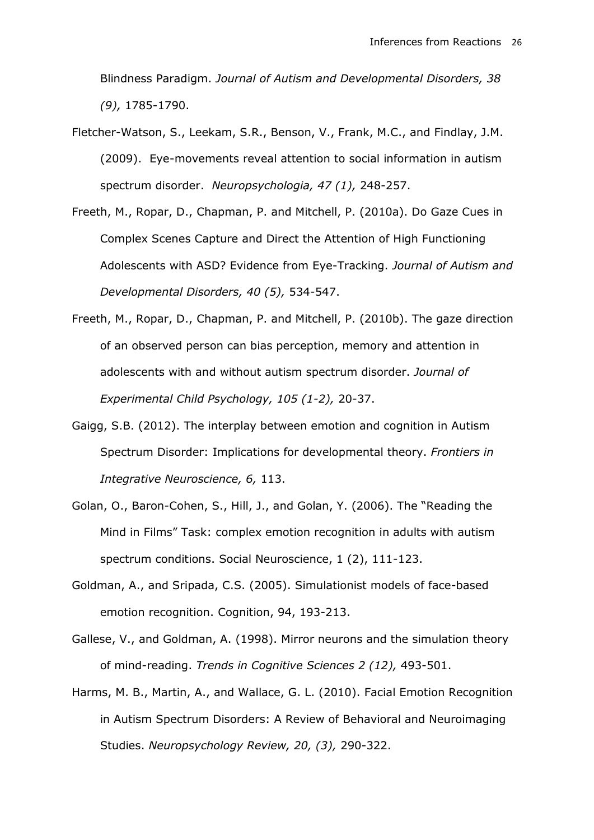Blindness Paradigm. *Journal of Autism and Developmental Disorders, 38 (9),* 1785-1790.

- Fletcher-Watson, S., Leekam, S.R., Benson, V., Frank, M.C., and Findlay, J.M. (2009). Eye-movements reveal attention to social information in autism spectrum disorder. *Neuropsychologia, 47 (1),* 248-257.
- Freeth, M., Ropar, D., Chapman, P. and Mitchell, P. (2010a). Do Gaze Cues in Complex Scenes Capture and Direct the Attention of High Functioning Adolescents with ASD? Evidence from Eye-Tracking. *Journal of Autism and Developmental Disorders, 40 (5),* 534-547.
- Freeth, M., Ropar, D., Chapman, P. and Mitchell, P. (2010b). The gaze direction of an observed person can bias perception, memory and attention in adolescents with and without autism spectrum disorder. *Journal of Experimental Child Psychology, 105 (1-2),* 20-37.
- Gaigg, S.B. (2012). The interplay between emotion and cognition in Autism Spectrum Disorder: Implications for developmental theory. *Frontiers in Integrative Neuroscience, 6,* 113.
- Golan, O., Baron-Cohen, S., Hill, J., and Golan, Y. (2006). The "Reading the Mind in Films" Task: complex emotion recognition in adults with autism spectrum conditions. Social Neuroscience, 1 (2), 111-123.
- Goldman, A., and Sripada, C.S. (2005). Simulationist models of face-based emotion recognition. Cognition, 94, 193-213.
- Gallese, V., and Goldman, A. (1998). Mirror neurons and the simulation theory of mind-reading. *Trends in Cognitive Sciences 2 (12),* 493-501.
- Harms, M. B., Martin, A., and Wallace, G. L. (2010). Facial Emotion Recognition in Autism Spectrum Disorders: A Review of Behavioral and Neuroimaging Studies. *Neuropsychology Review, 20, (3),* 290-322.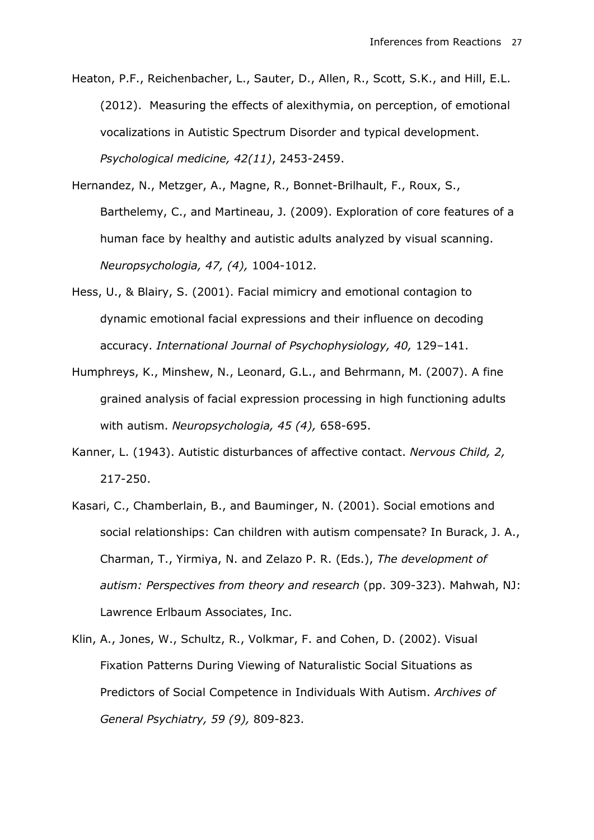Heaton, P.F., Reichenbacher, L., Sauter, D., Allen, R., Scott, S.K., and Hill, E.L. (2012). Measuring the effects of alexithymia, on perception, of emotional vocalizations in Autistic Spectrum Disorder and typical development. *Psychological medicine, 42(11)*, 2453-2459.

- Hernandez, N., Metzger, A., Magne, R., Bonnet-Brilhault, F., Roux, S., Barthelemy, C., and Martineau, J. (2009). Exploration of core features of a human face by healthy and autistic adults analyzed by visual scanning. *Neuropsychologia, 47, (4),* 1004-1012.
- Hess, U., & Blairy, S. (2001). Facial mimicry and emotional contagion to dynamic emotional facial expressions and their influence on decoding accuracy. *International Journal of Psychophysiology, 40,* 129–141.
- Humphreys, K., Minshew, N., Leonard, G.L., and Behrmann, M. (2007). A fine grained analysis of facial expression processing in high functioning adults with autism. *Neuropsychologia, 45 (4),* 658-695.
- Kanner, L. (1943). Autistic disturbances of affective contact. *Nervous Child, 2,* 217-250.
- Kasari, C., Chamberlain, B., and Bauminger, N. (2001). Social emotions and social relationships: Can children with autism compensate? In Burack, J. A., Charman, T., Yirmiya, N. and Zelazo P. R. (Eds.), *The development of autism: Perspectives from theory and research* (pp. 309-323). Mahwah, NJ: Lawrence Erlbaum Associates, Inc.
- Klin, A., Jones, W., Schultz, R., Volkmar, F. and Cohen, D. (2002). Visual Fixation Patterns During Viewing of Naturalistic Social Situations as Predictors of Social Competence in Individuals With Autism. *Archives of General Psychiatry, 59 (9),* 809-823.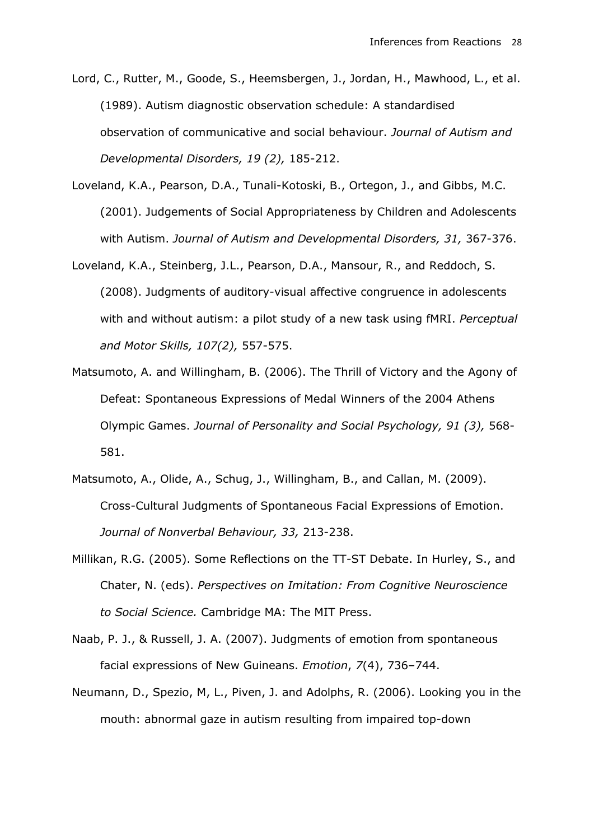Lord, C., Rutter, M., Goode, S., Heemsbergen, J., Jordan, H., Mawhood, L., et al. (1989). Autism diagnostic observation schedule: A standardised observation of communicative and social behaviour. *Journal of Autism and Developmental Disorders, 19 (2),* 185-212.

- Loveland, K.A., Pearson, D.A., Tunali-Kotoski, B., Ortegon, J., and Gibbs, M.C. (2001). Judgements of Social Appropriateness by Children and Adolescents with Autism. *Journal of Autism and Developmental Disorders, 31,* 367-376.
- Loveland, K.A., Steinberg, J.L., Pearson, D.A., Mansour, R., and Reddoch, S. (2008). Judgments of auditory-visual affective congruence in adolescents with and without autism: a pilot study of a new task using fMRI. *Perceptual and Motor Skills, 107(2),* 557-575.
- Matsumoto, A. and Willingham, B. (2006). The Thrill of Victory and the Agony of Defeat: Spontaneous Expressions of Medal Winners of the 2004 Athens Olympic Games. *Journal of Personality and Social Psychology, 91 (3),* 568- 581.
- Matsumoto, A., Olide, A., Schug, J., Willingham, B., and Callan, M. (2009). Cross-Cultural Judgments of Spontaneous Facial Expressions of Emotion. *Journal of Nonverbal Behaviour, 33,* 213-238.
- Millikan, R.G. (2005). Some Reflections on the TT-ST Debate. In Hurley, S., and Chater, N. (eds). *Perspectives on Imitation: From Cognitive Neuroscience to Social Science.* Cambridge MA: The MIT Press.
- Naab, P. J., & Russell, J. A. (2007). Judgments of emotion from spontaneous facial expressions of New Guineans. *Emotion*, *7*(4), 736–744.
- Neumann, D., Spezio, M, L., Piven, J. and Adolphs, R. (2006). Looking you in the mouth: abnormal gaze in autism resulting from impaired top-down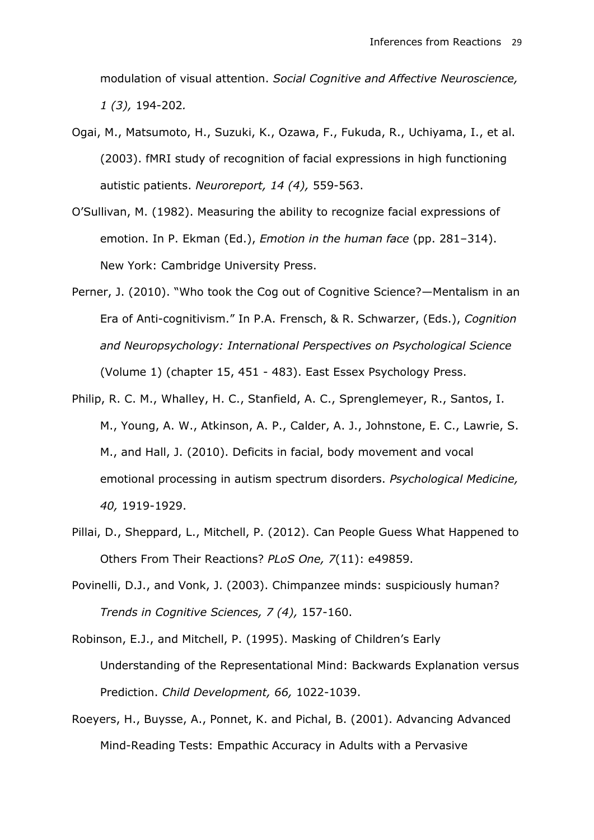modulation of visual attention. *Social Cognitive and Affective Neuroscience, 1 (3),* 194-202*.*

- Ogai, M., Matsumoto, H., Suzuki, K., Ozawa, F., Fukuda, R., Uchiyama, I., et al. (2003). fMRI study of recognition of facial expressions in high functioning autistic patients. *Neuroreport, 14 (4),* 559-563.
- O'Sullivan, M. (1982). Measuring the ability to recognize facial expressions of emotion. In P. Ekman (Ed.), *Emotion in the human face* (pp. 281–314). New York: Cambridge University Press.
- Perner, J. (2010). "Who took the Cog out of Cognitive Science?—Mentalism in an Era of Anti-cognitivism." In P.A. Frensch, & R. Schwarzer, (Eds.), *Cognition and Neuropsychology: International Perspectives on Psychological Science* (Volume 1) (chapter 15, 451 - 483). East Essex Psychology Press.
- Philip, R. C. M., Whalley, H. C., Stanfield, A. C., Sprenglemeyer, R., Santos, I. M., Young, A. W., Atkinson, A. P., Calder, A. J., Johnstone, E. C., Lawrie, S. M., and Hall, J. (2010). Deficits in facial, body movement and vocal emotional processing in autism spectrum disorders. *Psychological Medicine, 40,* 1919-1929.
- Pillai, D., Sheppard, L., Mitchell, P. (2012). Can People Guess What Happened to Others From Their Reactions? *PLoS One, 7*(11): e49859.
- Povinelli, D.J., and Vonk, J. (2003). Chimpanzee minds: suspiciously human? *Trends in Cognitive Sciences, 7 (4),* 157-160.
- Robinson, E.J., and Mitchell, P. (1995). Masking of Children's Early Understanding of the Representational Mind: Backwards Explanation versus Prediction. *Child Development, 66,* 1022-1039.
- Roeyers, H., Buysse, A., Ponnet, K. and Pichal, B. (2001). Advancing Advanced Mind-Reading Tests: Empathic Accuracy in Adults with a Pervasive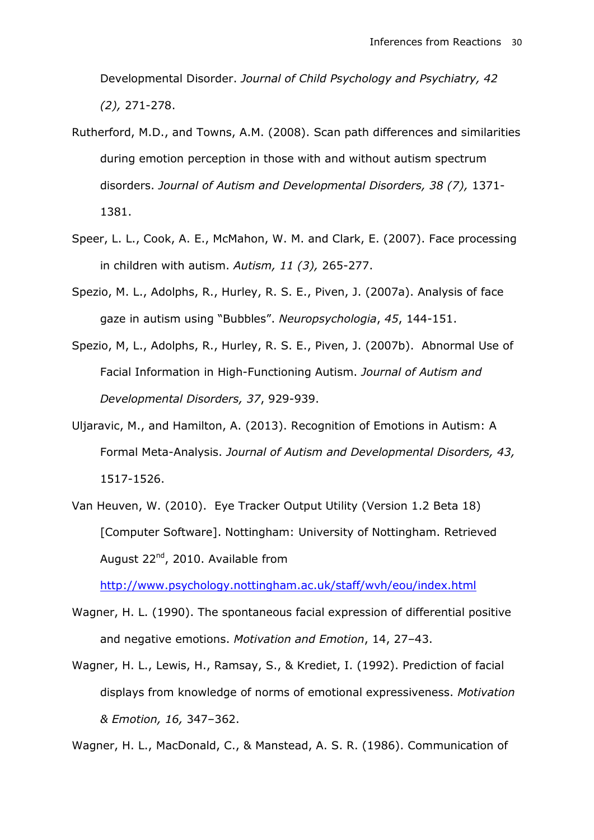Developmental Disorder. *Journal of Child Psychology and Psychiatry, 42 (2),* 271-278.

- Rutherford, M.D., and Towns, A.M. (2008). Scan path differences and similarities during emotion perception in those with and without autism spectrum disorders. *Journal of Autism and Developmental Disorders, 38 (7),* 1371- 1381.
- Speer, L. L., Cook, A. E., McMahon, W. M. and Clark, E. (2007). Face processing in children with autism. *Autism, 11 (3),* 265-277.
- Spezio, M. L., Adolphs, R., Hurley, R. S. E., Piven, J. (2007a). Analysis of face gaze in autism using "Bubbles". *Neuropsychologia*, *45*, 144-151.
- Spezio, M, L., Adolphs, R., Hurley, R. S. E., Piven, J. (2007b). Abnormal Use of Facial Information in High-Functioning Autism. *Journal of Autism and Developmental Disorders, 37*, 929-939.
- Uljaravic, M., and Hamilton, A. (2013). Recognition of Emotions in Autism: A Formal Meta-Analysis. *Journal of Autism and Developmental Disorders, 43,* 1517-1526.
- Van Heuven, W. (2010). Eye Tracker Output Utility (Version 1.2 Beta 18) [Computer Software]. Nottingham: University of Nottingham. Retrieved August 22<sup>nd</sup>, 2010. Available from

<http://www.psychology.nottingham.ac.uk/staff/wvh/eou/index.html>

- Wagner, H. L. (1990). The spontaneous facial expression of differential positive and negative emotions. *Motivation and Emotion*, 14, 27–43.
- Wagner, H. L., Lewis, H., Ramsay, S., & Krediet, I. (1992). Prediction of facial displays from knowledge of norms of emotional expressiveness. *Motivation & Emotion, 16,* 347–362.

Wagner, H. L., MacDonald, C., & Manstead, A. S. R. (1986). Communication of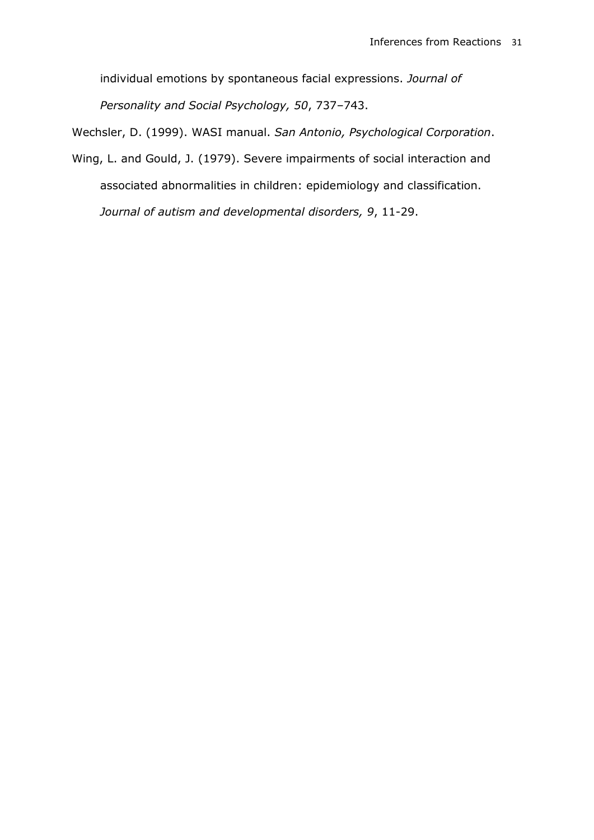individual emotions by spontaneous facial expressions. *Journal of* 

*Personality and Social Psychology, 50*, 737–743.

Wechsler, D. (1999). WASI manual. *San Antonio, Psychological Corporation*.

Wing, L. and Gould, J. (1979). Severe impairments of social interaction and associated abnormalities in children: epidemiology and classification. *Journal of autism and developmental disorders, 9*, 11-29.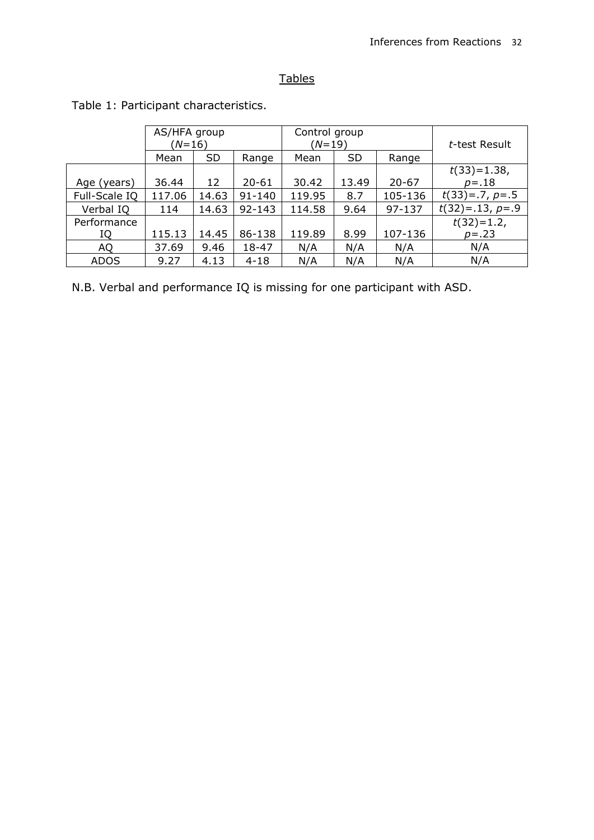# **Tables**

|               | AS/HFA group<br>$(N=16)$ |           |            | Control group<br>(N=19) |           |           | t-test Result     |  |
|---------------|--------------------------|-----------|------------|-------------------------|-----------|-----------|-------------------|--|
|               | Mean                     | <b>SD</b> | Range      | Mean                    | <b>SD</b> | Range     |                   |  |
|               |                          |           |            |                         |           |           | $t(33)=1.38$ ,    |  |
| Age (years)   | 36.44                    | 12        | $20 - 61$  | 30.42                   | 13.49     | $20 - 67$ | $p = .18$         |  |
| Full-Scale IQ | 117.06                   | 14.63     | $91 - 140$ | 119.95                  | 8.7       | 105-136   | $t(33)=.7, p=.5$  |  |
| Verbal IQ     | 114                      | 14.63     | $92 - 143$ | 114.58                  | 9.64      | 97-137    | $t(32)=.13, p=.9$ |  |
| Performance   |                          |           |            |                         |           |           | $t(32)=1.2$       |  |
| IQ            | 115.13                   | 14.45     | 86-138     | 119.89                  | 8.99      | 107-136   | $p = .23$         |  |
| AQ            | 37.69                    | 9.46      | 18-47      | N/A                     | N/A       | N/A       | N/A               |  |
| <b>ADOS</b>   | 9.27                     | 4.13      | $4 - 18$   | N/A                     | N/A       | N/A       | N/A               |  |

Table 1: Participant characteristics.

N.B. Verbal and performance IQ is missing for one participant with ASD.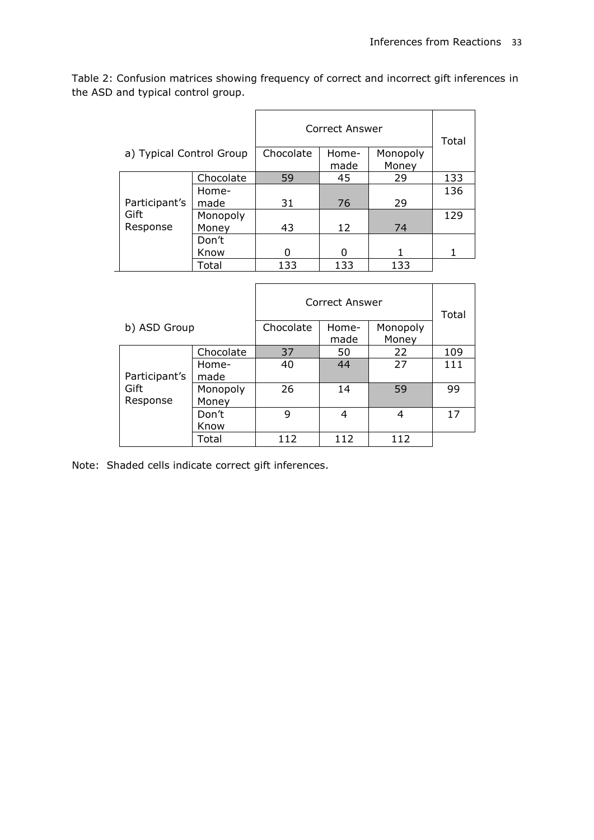Table 2: Confusion matrices showing frequency of correct and incorrect gift inferences in the ASD and typical control group.

|                          |           | <b>Correct Answer</b> | Total         |                   |     |
|--------------------------|-----------|-----------------------|---------------|-------------------|-----|
| a) Typical Control Group |           | Chocolate             | Home-<br>made | Monopoly<br>Money |     |
|                          | Chocolate | 59                    | 45            | 29                | 133 |
|                          | Home-     |                       |               |                   | 136 |
| Participant's            | made      | 31                    | 76            | 29                |     |
| Gift                     | Monopoly  |                       |               |                   | 129 |
| Response                 | Money     | 43                    | 12            | 74                |     |
|                          | Don't     |                       |               |                   |     |
|                          | Know      |                       | O             |                   |     |
|                          | Total     | 133                   | 133           | 133               |     |

|                                   |                   | Correct Answer | Total         |                   |     |
|-----------------------------------|-------------------|----------------|---------------|-------------------|-----|
| b) ASD Group                      |                   | Chocolate      | Home-<br>made | Monopoly<br>Money |     |
|                                   | Chocolate         | 37             | 50            | 22                | 109 |
| Participant's<br>Gift<br>Response | Home-<br>made     | 40             | 44            | 27                | 111 |
|                                   | Monopoly<br>Money | 26             | 14            | 59                | 99  |
|                                   | Don't<br>Know     | 9              | 4             | 4                 | 17  |
|                                   | Total             | 112            | 112           | 112               |     |

Note: Shaded cells indicate correct gift inferences.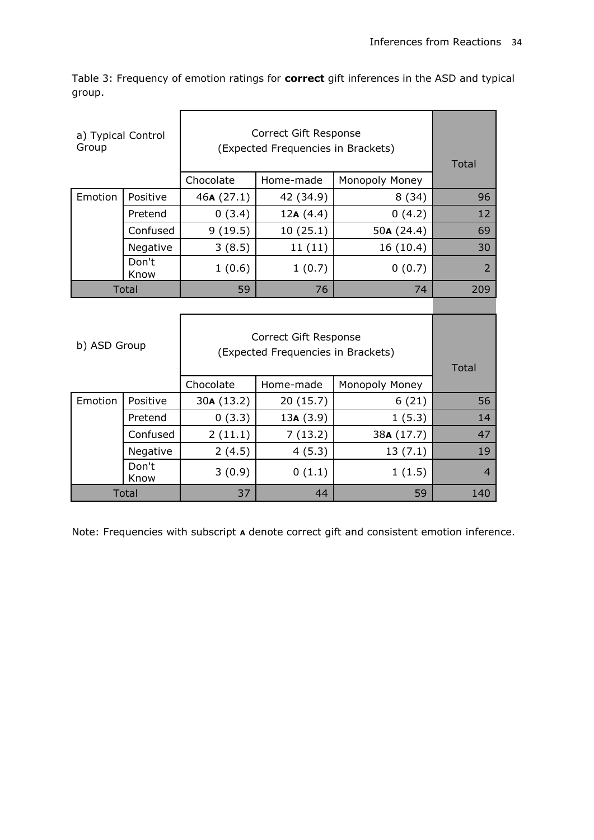Table 3: Frequency of emotion ratings for **correct** gift inferences in the ASD and typical group.

| a) Typical Control<br>Group |               | Correct Gift Response<br>(Expected Frequencies in Brackets) | <b>Total</b> |                |                |
|-----------------------------|---------------|-------------------------------------------------------------|--------------|----------------|----------------|
|                             |               | Chocolate<br>Monopoly Money<br>Home-made                    |              |                |                |
| Emotion                     | Positive      | 46A(27.1)                                                   | 42 (34.9)    | 8(34)          | 96             |
|                             | Pretend       | 0(3.4)                                                      | 12A(4.4)     | 0(4.2)         | 12             |
|                             | Confused      | 9(19.5)                                                     | 10(25.1)     | 50 $A(24.4)$   | 69             |
|                             | Negative      | 3(8.5)                                                      | 11(11)       | 16(10.4)       | 30             |
|                             | Don't<br>Know | 1(0.6)                                                      | 1(0.7)       | 0(0.7)         | 2              |
| <b>Total</b>                |               | 59                                                          | 76           | 74             | 209            |
| b) ASD Group                |               | Correct Gift Response<br>(Expected Frequencies in Brackets) | <b>Total</b> |                |                |
|                             |               | Chocolate                                                   | Home-made    | Monopoly Money |                |
| Emotion                     | Positive      | 30A (13.2)                                                  | 20(15.7)     | 6(21)          | 56             |
|                             | Pretend       | 0(3.3)                                                      | 13A(3.9)     | 1(5.3)         | 14             |
|                             | Confused      | 2(11.1)                                                     | 7(13.2)      | 38A (17.7)     | 47             |
|                             | Negative      | 2(4.5)                                                      | 4(5.3)       | 13(7.1)        | 19             |
|                             | Don't<br>Know | 3(0.9)                                                      | 0(1.1)       | 1(1.5)         | $\overline{4}$ |
| Total                       |               | 37                                                          | 44           | 59             | 140            |

Note: Frequencies with subscript **<sup>A</sup>** denote correct gift and consistent emotion inference.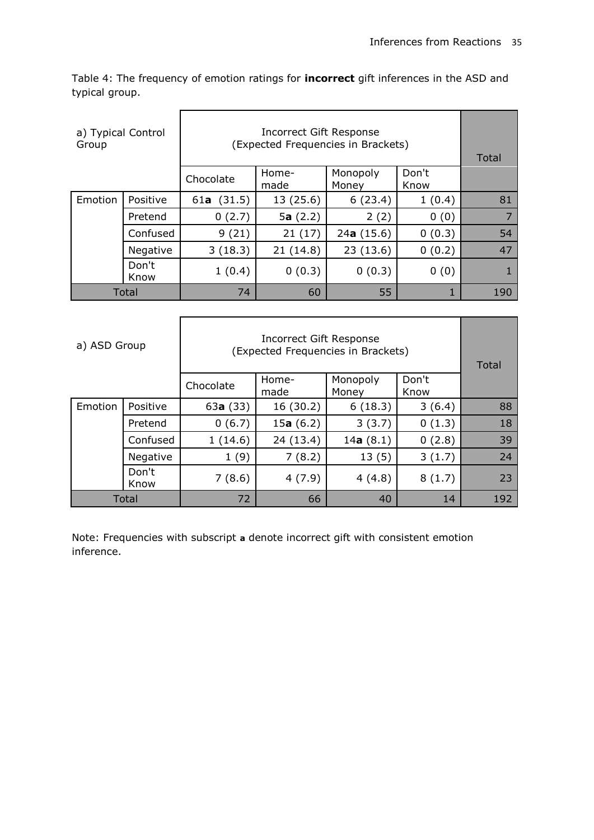Table 4: The frequency of emotion ratings for **incorrect** gift inferences in the ASD and typical group.

| a) Typical Control<br>Group |               | (Expected Frequencies in Brackets) | Total         |                   |               |     |
|-----------------------------|---------------|------------------------------------|---------------|-------------------|---------------|-----|
|                             |               | Chocolate                          | Home-<br>made | Monopoly<br>Money | Don't<br>Know |     |
| Emotion                     | Positive      | 61a $(31.5)$                       | 13 (25.6)     | 6(23.4)           | 1(0.4)        | 81  |
|                             | Pretend       | 0(2.7)                             | 5a $(2.2)$    | 2(2)              | 0(0)          |     |
|                             | Confused      | 9(21)                              | 21(17)        | 24a(15.6)         | 0(0.3)        | 54  |
|                             | Negative      | 3(18.3)                            | 21(14.8)      | 23(13.6)          | 0(0.2)        | 47  |
|                             | Don't<br>Know | 1(0.4)                             | 0(0.3)        | 0(0.3)            | 0(0)          |     |
| Total                       |               | 74                                 | 60            | 55                |               | 190 |

| a) ASD Group |               | (Expected Frequencies in Brackets) | Total               |                   |               |     |
|--------------|---------------|------------------------------------|---------------------|-------------------|---------------|-----|
|              |               | Chocolate                          | Home-<br>made       | Monopoly<br>Money | Don't<br>Know |     |
| Emotion      | Positive      | 63a(33)                            | 16 (30.2)           | 6(18.3)           | 3(6.4)        | 88  |
|              | Pretend       | 0(6.7)                             | 15 <b>a</b> $(6.2)$ | 3(3.7)            | 0(1.3)        | 18  |
|              | Confused      | 1(14.6)                            | 24 (13.4)           | 14a $(8.1)$       | 0(2.8)        | 39  |
|              | Negative      | 1(9)                               | 7(8.2)              | 13(5)             | 3(1.7)        | 24  |
|              | Don't<br>Know | 7(8.6)                             | 4(7.9)              | 4(4.8)            | 8(1.7)        | 23  |
| Total        |               | 72                                 | 66                  | 40                | 14            | 192 |

Note: Frequencies with subscript **a** denote incorrect gift with consistent emotion inference.